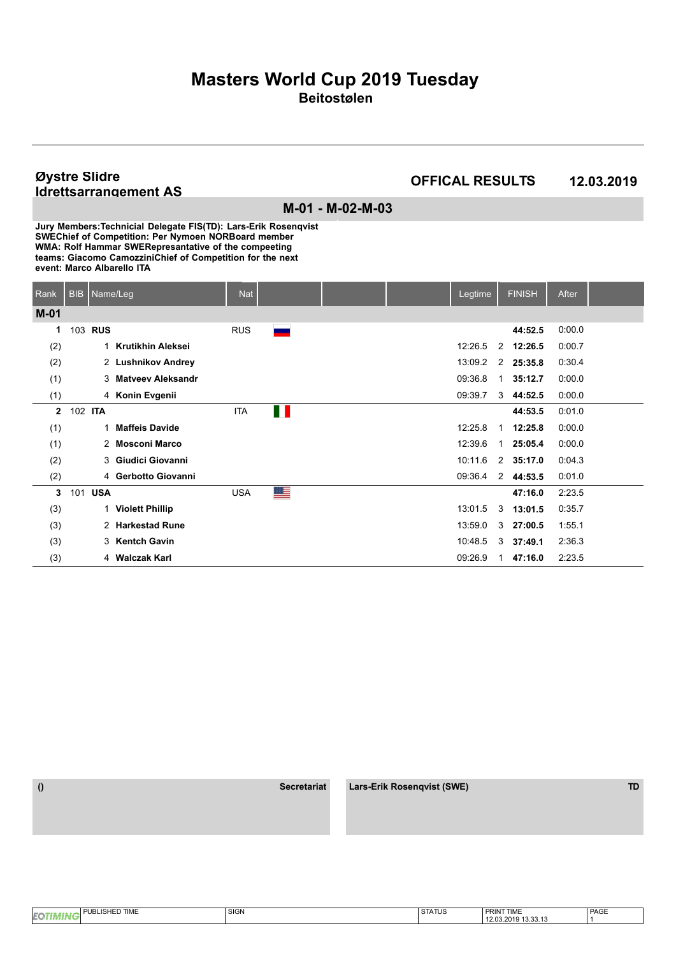#### **Øystre Slidre Idrettsarrangement AS**

### **OFFICAL RESULTS 12.03.2019**

**M-01 - M-02-M-03**

| Rank           | <b>BIB</b>     | Name/Leg     |                          | <b>Nat</b> |        |  | Legtime |                | <b>FINISH</b> | After  |  |
|----------------|----------------|--------------|--------------------------|------------|--------|--|---------|----------------|---------------|--------|--|
| $M-01$         |                |              |                          |            |        |  |         |                |               |        |  |
| 1              | 103            | <b>RUS</b>   |                          | <b>RUS</b> | a sa T |  |         |                | 44:52.5       | 0.00.0 |  |
| (2)            |                | 1            | <b>Krutikhin Aleksei</b> |            |        |  | 12:26.5 | 2              | 12:26.5       | 0:00.7 |  |
| (2)            |                |              | 2 Lushnikov Andrey       |            |        |  | 13:09.2 |                | 2 25:35.8     | 0:30.4 |  |
| (1)            |                |              | 3 Matyeev Aleksandr      |            |        |  | 09:36.8 | 1              | 35:12.7       | 0:00.0 |  |
| (1)            |                |              | 4 Konin Evgenii          |            |        |  | 09:39.7 | 3              | 44:52.5       | 0.00.0 |  |
| $\overline{2}$ | 102 <b>ITA</b> |              |                          | <b>ITA</b> | Ш      |  |         |                | 44:53.5       | 0:01.0 |  |
| (1)            |                | $\mathbf 1$  | <b>Maffeis Davide</b>    |            |        |  | 12:25.8 | $\mathbf{1}$   | 12:25.8       | 0.00.0 |  |
| (1)            |                |              | 2 Mosconi Marco          |            |        |  | 12:39.6 | 1              | 25:05.4       | 0.00.0 |  |
| (2)            |                | 3            | Giudici Giovanni         |            |        |  | 10:11.6 | $\overline{2}$ | 35:17.0       | 0:04.3 |  |
| (2)            |                |              | 4 Gerbotto Giovanni      |            |        |  | 09:36.4 |                | 2 44:53.5     | 0:01.0 |  |
| 3              |                | 101 USA      |                          | <b>USA</b> | ≝      |  |         |                | 47:16.0       | 2:23.5 |  |
| (3)            |                | $\mathbf{1}$ | <b>Violett Phillip</b>   |            |        |  | 13:01.5 | 3              | 13:01.5       | 0:35.7 |  |
| (3)            |                |              | 2 Harkestad Rune         |            |        |  | 13:59.0 | 3              | 27:00.5       | 1:55.1 |  |
| (3)            |                | 3            | <b>Kentch Gavin</b>      |            |        |  | 10:48.5 |                | $3$ 37:49.1   | 2:36.3 |  |
| (3)            |                |              | 4 Walczak Karl           |            |        |  | 09:26.9 | 1.             | 47:16.0       | 2:23.5 |  |

| I PUBLISHED TIME<br><b>EQ</b> | <b>SIGN</b> | 27171<br><b>STATUS</b> | <b>PRINT TIME</b>   | PAGE |
|-------------------------------|-------------|------------------------|---------------------|------|
|                               |             |                        | 12.03.2019 13.33.13 |      |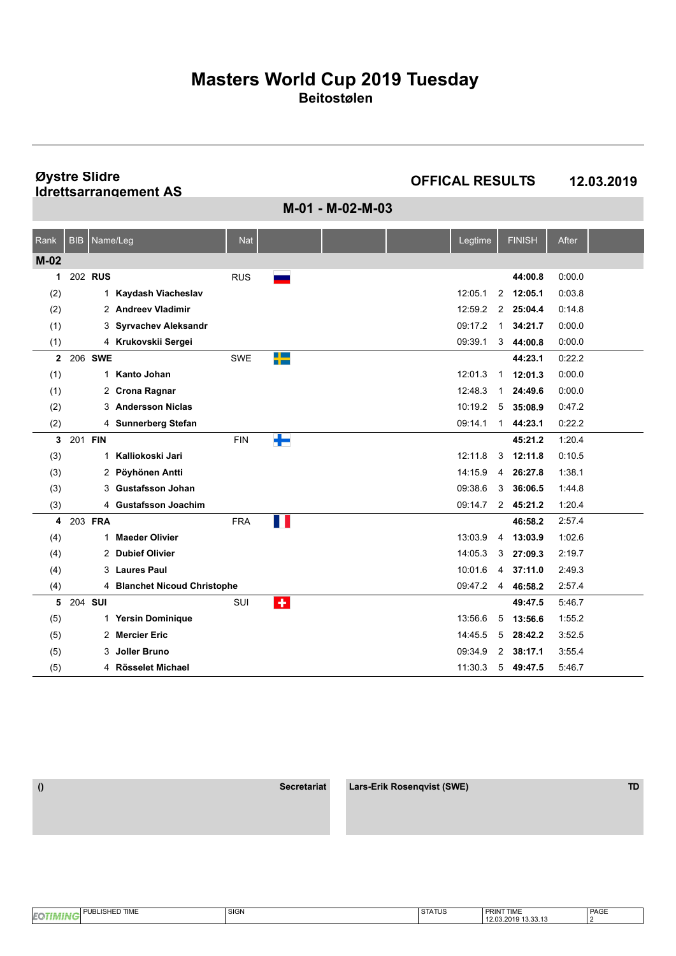**Øystre Slidre Idrettsarrangement AS**

**OFFICAL RESULTS 12.03.2019**

**M-01 - M-02-M-03**

| Rank   | <b>BIB</b> | Name/Leg    |                              | <b>Nat</b> |                         |  | Legtime |              | <b>FINISH</b> | After  |  |
|--------|------------|-------------|------------------------------|------------|-------------------------|--|---------|--------------|---------------|--------|--|
| $M-02$ |            |             |                              |            |                         |  |         |              |               |        |  |
| 1      |            | 202 RUS     |                              | <b>RUS</b> |                         |  |         |              | 44:00.8       | 0:00.0 |  |
| (2)    |            |             | 1 Kaydash Viacheslav         |            |                         |  | 12:05.1 | 2            | 12:05.1       | 0:03.8 |  |
| (2)    |            |             | 2 Andreev Vladimir           |            |                         |  | 12:59.2 | 2            | 25:04.4       | 0.14.8 |  |
| (1)    |            |             | 3 Syrvachev Aleksandr        |            |                         |  | 09:17.2 | $\mathbf 1$  | 34:21.7       | 0:00.0 |  |
| (1)    |            |             | 4 Krukovskii Sergei          |            |                         |  | 09:39.1 | 3            | 44:00.8       | 0:00.0 |  |
| 2      |            | 206 SWE     |                              | <b>SWE</b> | H E                     |  |         |              | 44:23.1       | 0:22.2 |  |
| (1)    |            | $\mathbf 1$ | Kanto Johan                  |            |                         |  | 12:01.3 | $\mathbf{1}$ | 12:01.3       | 0:00.0 |  |
| (1)    |            |             | 2 Crona Ragnar               |            |                         |  | 12:48.3 | 1            | 24:49.6       | 0:00.0 |  |
| (2)    |            | 3           | <b>Andersson Niclas</b>      |            |                         |  | 10:19.2 | 5            | 35:08.9       | 0:47.2 |  |
| (2)    |            |             | 4 Sunnerberg Stefan          |            |                         |  | 09:14.1 | $\mathbf 1$  | 44:23.1       | 0:22.2 |  |
| 3      | 201 FIN    |             |                              | <b>FIN</b> | ╄                       |  |         |              | 45:21.2       | 1:20.4 |  |
| (3)    |            | 1           | Kalliokoski Jari             |            |                         |  | 12:11.8 | 3            | 12:11.8       | 0:10.5 |  |
| (3)    |            |             | 2 Pöyhönen Antti             |            |                         |  | 14:15.9 | 4            | 26:27.8       | 1:38.1 |  |
| (3)    |            | 3           | <b>Gustafsson Johan</b>      |            |                         |  | 09:38.6 | 3            | 36:06.5       | 1:44.8 |  |
| (3)    |            |             | 4 Gustafsson Joachim         |            |                         |  | 09:14.7 |              | 2 45:21.2     | 1:20.4 |  |
| 4      |            | 203 FRA     |                              | <b>FRA</b> | H.                      |  |         |              | 46:58.2       | 2:57.4 |  |
| (4)    |            | 1           | <b>Maeder Olivier</b>        |            |                         |  | 13:03.9 | 4            | 13:03.9       | 1:02.6 |  |
| (4)    |            |             | 2 Dubief Olivier             |            |                         |  | 14:05.3 | 3            | 27:09.3       | 2:19.7 |  |
| (4)    |            | 3           | <b>Laures Paul</b>           |            |                         |  | 10:01.6 |              | 4 37:11.0     | 2:49.3 |  |
| (4)    |            |             | 4 Blanchet Nicoud Christophe |            |                         |  | 09:47.2 | 4            | 46:58.2       | 2:57.4 |  |
| 5      |            | 204 SUI     |                              | SUI        | $\overline{\textbf{r}}$ |  |         |              | 49:47.5       | 5:46.7 |  |
| (5)    |            |             | 1 Yersin Dominique           |            |                         |  | 13:56.6 | 5            | 13:56.6       | 1:55.2 |  |
| (5)    |            | 2           | <b>Mercier Eric</b>          |            |                         |  | 14:45.5 | 5            | 28:42.2       | 3:52.5 |  |
| (5)    |            | 3           | <b>Joller Bruno</b>          |            |                         |  | 09:34.9 | 2            | 38:17.1       | 3:55.4 |  |
| (5)    |            |             | 4 Rösselet Michael           |            |                         |  | 11:30.3 | 5            | 49:47.5       | 5:46.7 |  |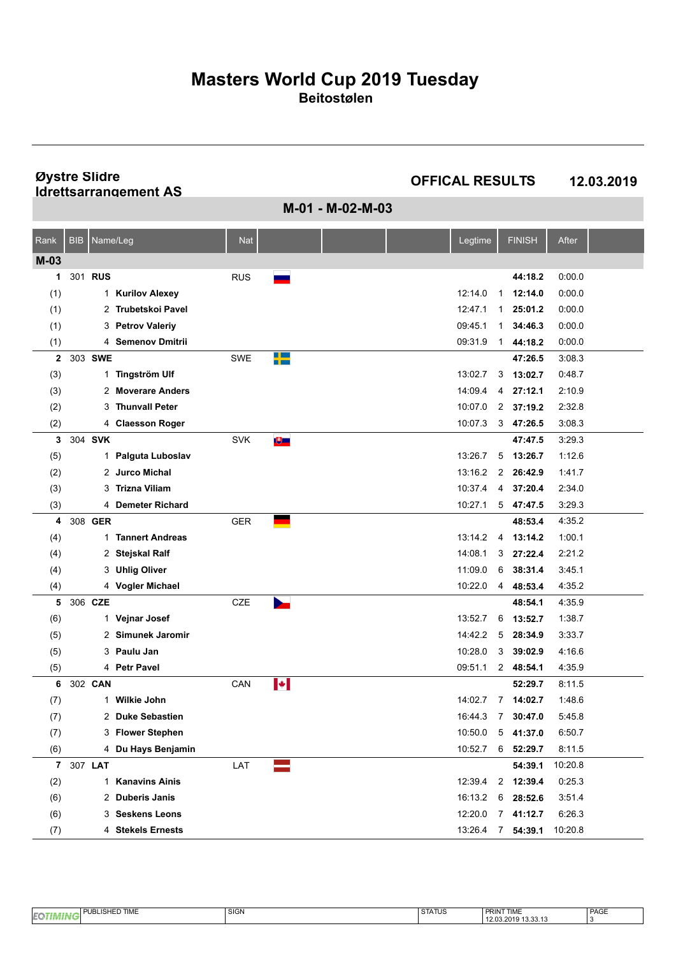**Øystre Slidre Idrettsarrangement AS**

**OFFICAL RESULTS 12.03.2019**

**M-01 - M-02-M-03**

| Rank         | <b>BIB</b> | Name/Leg |                        | <b>Nat</b> |                       |  | Legtime |                | <b>FINISH</b>     | After   |  |
|--------------|------------|----------|------------------------|------------|-----------------------|--|---------|----------------|-------------------|---------|--|
| $M-03$       |            |          |                        |            |                       |  |         |                |                   |         |  |
| 1            |            | 301 RUS  |                        | <b>RUS</b> |                       |  |         |                | 44:18.2           | 0.00.0  |  |
| (1)          |            | 1        | <b>Kurilov Alexey</b>  |            |                       |  | 12:14.0 | $\mathbf{1}$   | 12:14.0           | 0.00.0  |  |
| (1)          |            |          | 2 Trubetskoi Pavel     |            |                       |  | 12:47.1 | $\mathbf{1}$   | 25:01.2           | 0.00.0  |  |
| (1)          |            | 3        | <b>Petrov Valeriy</b>  |            |                       |  | 09:45.1 | 1              | 34:46.3           | 0.00.0  |  |
| (1)          |            |          | 4 Semenov Dmitrii      |            |                       |  | 09:31.9 | 1              | 44:18.2           | 0.00.0  |  |
| $\mathbf{2}$ |            | 303 SWE  |                        | <b>SWE</b> | ▚                     |  |         |                | 47:26.5           | 3:08.3  |  |
| (3)          |            | 1        | <b>Tingström Ulf</b>   |            |                       |  | 13:02.7 | 3              | 13:02.7           | 0.48.7  |  |
| (3)          |            |          | 2 Moverare Anders      |            |                       |  | 14:09.4 | 4              | 27:12.1           | 2:10.9  |  |
| (2)          |            | 3        | <b>Thunvall Peter</b>  |            |                       |  | 10:07.0 | 2              | 37:19.2           | 2:32.8  |  |
| (2)          |            |          | 4 Claesson Roger       |            |                       |  | 10:07.3 | 3              | 47:26.5           | 3:08.3  |  |
| 3            |            | 304 SVK  |                        | <b>SVK</b> | ७≡                    |  |         |                | 47:47.5           | 3:29.3  |  |
| (5)          |            |          | 1 Palguta Luboslav     |            |                       |  | 13:26.7 | 5              | 13:26.7           | 1:12.6  |  |
| (2)          |            |          | 2 Jurco Michal         |            |                       |  | 13:16.2 | 2              | 26:42.9           | 1:41.7  |  |
| (3)          |            | 3        | Trizna Viliam          |            |                       |  | 10:37.4 | 4              | 37:20.4           | 2.34.0  |  |
| (3)          |            |          | 4 Demeter Richard      |            |                       |  | 10:27.1 |                | $5$ 47:47.5       | 3.29.3  |  |
| 4            |            | 308 GER  |                        | <b>GER</b> |                       |  |         |                | 48:53.4           | 4:35.2  |  |
| (4)          |            | 1.       | <b>Tannert Andreas</b> |            |                       |  | 13:14.2 | 4              | 13:14.2           | 1:00.1  |  |
| (4)          |            |          | 2 Stejskal Ralf        |            |                       |  | 14:08.1 | 3              | 27:22.4           | 2:21.2  |  |
| (4)          |            | 3        | <b>Uhlig Oliver</b>    |            |                       |  | 11:09.0 | 6              | 38:31.4           | 3:45.1  |  |
| (4)          |            |          | 4 Vogler Michael       |            |                       |  | 10:22.0 | 4              | 48:53.4           | 4:35.2  |  |
| 5            |            | 306 CZE  |                        | CZE        | $\mathbf{r}$          |  |         |                | 48:54.1           | 4:35.9  |  |
| (6)          |            | 1        | Vejnar Josef           |            |                       |  | 13:52.7 | 6              | 13:52.7           | 1.38.7  |  |
| (5)          |            |          | 2 Simunek Jaromir      |            |                       |  | 14:42.2 | 5              | 28:34.9           | 3:33.7  |  |
| (5)          |            | 3        | Paulu Jan              |            |                       |  | 10:28.0 | 3              | 39:02.9           | 4:16.6  |  |
| (5)          |            |          | 4 Petr Pavel           |            |                       |  | 09.51.1 |                | 2 48:54.1         | 4:35.9  |  |
| 6            |            | 302 CAN  |                        | CAN        | $\blacktriangleright$ |  |         |                | 52:29.7           | 8:11.5  |  |
| (7)          |            | 1        | Wilkie John            |            |                       |  | 14:02.7 | 7              | 14:02.7           | 1.48.6  |  |
| (7)          |            |          | 2 Duke Sebastien       |            |                       |  | 16:44.3 | $\overline{7}$ | 30:47.0           | 5458    |  |
| (7)          |            |          | 3 Flower Stephen       |            |                       |  |         |                | 10:50.0 5 41:37.0 | 6:50.7  |  |
| (6)          |            |          | 4 Du Hays Benjamin     |            |                       |  | 10:52.7 |                | 6 52:29.7         | 8:11.5  |  |
| $\mathbf{7}$ |            | 307 LAT  |                        | LAT        |                       |  |         |                | 54:39.1           | 10:20.8 |  |
| (2)          |            | 1        | <b>Kanavins Ainis</b>  |            |                       |  | 12:39.4 |                | 2 12:39.4         | 0:25.3  |  |
| (6)          |            |          | 2 Duberis Janis        |            |                       |  | 16:13.2 | 6              | 28:52.6           | 3:51.4  |  |
| (6)          |            |          | 3 Seskens Leons        |            |                       |  | 12:20.0 | 7 <sup>7</sup> | 41:12.7           | 6:26.3  |  |
| (7)          |            |          | 4 Stekels Ernests      |            |                       |  | 13:26.4 |                | 7 54:39.1         | 10:20.8 |  |

|            | <b>D TIME</b><br>Ð<br><br>-<br>--<br><br>æ | $\sim$<br>$\sim$<br>יוטוט | $\sim$<br>. SIAIUS | <b>PRINT TIME</b>                 | PAGE |
|------------|--------------------------------------------|---------------------------|--------------------|-----------------------------------|------|
| <b>IEQ</b> |                                            |                           |                    | $\sim$<br>2.UJ.ZU I 9<br>19.99.19 |      |
|            |                                            |                           |                    |                                   |      |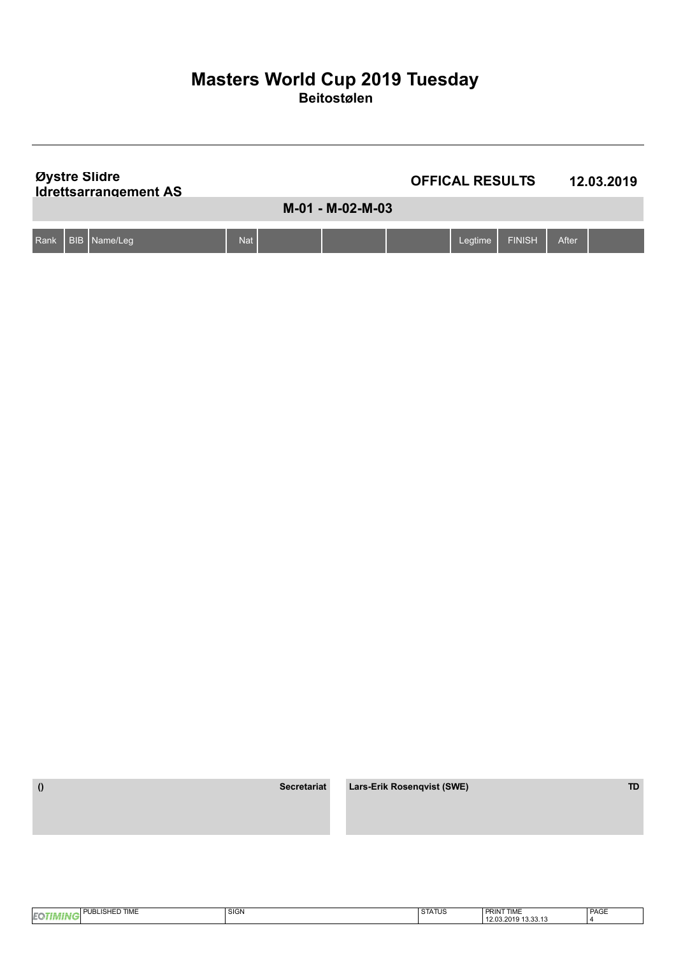|      | Øystre Slidre<br><b>Idrettsarrangement AS</b> |            | <b>OFFICAL RESULTS</b><br>12.03.2019 |  |         |               |       |  |
|------|-----------------------------------------------|------------|--------------------------------------|--|---------|---------------|-------|--|
|      |                                               |            | M-01 - M-02-M-03                     |  |         |               |       |  |
| Rank | BIB   Name/Leg                                | <b>Nat</b> |                                      |  | Legtime | <b>FINISH</b> | After |  |

| <b>TIME</b><br>LISHED.<br>ıнı<br>. .<br>⊐ועוו | SIGN | SIAIUS | <b>JT TIME</b><br><b>PRINT</b>    | PAGE                     |
|-----------------------------------------------|------|--------|-----------------------------------|--------------------------|
|                                               |      |        | 10.0010<br>12.03.2019<br>13.33.13 | $\overline{\phantom{a}}$ |
|                                               |      |        |                                   |                          |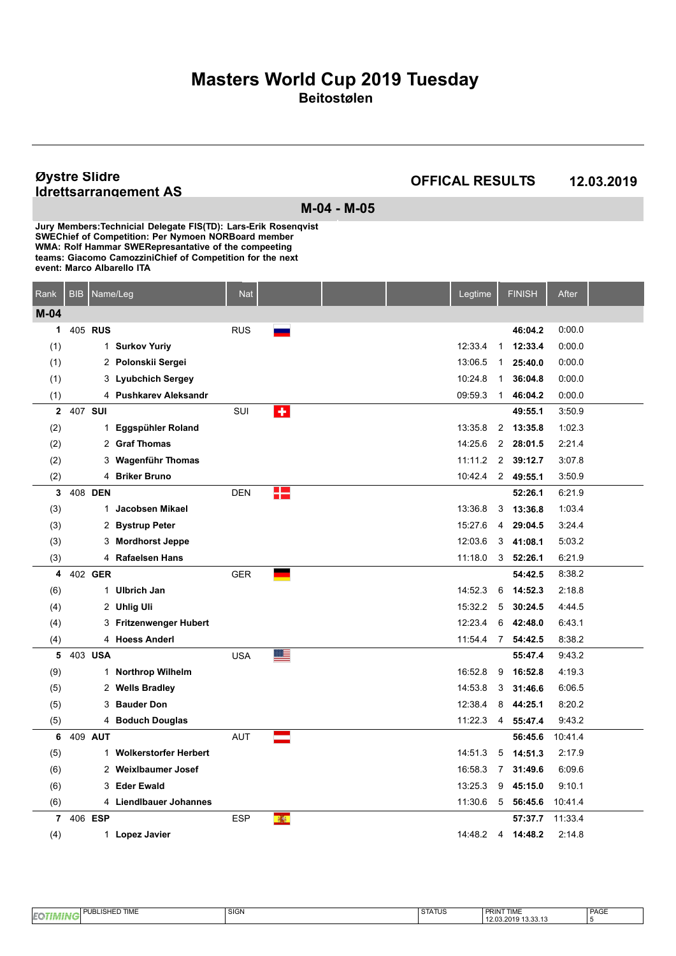#### **Øystre Slidre Idrettsarrangement AS**

### **OFFICAL RESULTS 12.03.2019**

**M-04 - M-05**

| Rank           | <b>BIB</b> | Name/Leg |                         | <b>Nat</b> |                     |  | Legtime |                | <b>FINISH</b>    | After   |  |
|----------------|------------|----------|-------------------------|------------|---------------------|--|---------|----------------|------------------|---------|--|
| $M-04$         |            |          |                         |            |                     |  |         |                |                  |         |  |
| 1              |            | 405 RUS  |                         | <b>RUS</b> |                     |  |         |                | 46:04.2          | 0:00.0  |  |
| (1)            |            |          | 1 Surkov Yuriy          |            |                     |  | 12:33.4 | $\mathbf{1}$   | 12:33.4          | 0:00.0  |  |
| (1)            |            |          | 2 Polonskii Sergei      |            |                     |  | 13:06.5 | $\mathbf 1$    | 25:40.0          | 0:00.0  |  |
| (1)            |            |          | 3 Lyubchich Sergey      |            |                     |  | 10:24.8 | $\mathbf{1}$   | 36:04.8          | 0:00.0  |  |
| (1)            |            |          | 4 Pushkarev Aleksandr   |            |                     |  | 09:59.3 | $\mathbf{1}$   | 46:04.2          | 0.00.0  |  |
| $\mathbf{2}$   | 407 SUI    |          |                         | SUI        | $\ddot{\textbf{r}}$ |  |         |                | 49:55.1          | 3:50.9  |  |
| (2)            |            |          | 1 Eggspühler Roland     |            |                     |  | 13:35.8 | $\overline{2}$ | 13:35.8          | 1:02.3  |  |
| (2)            |            |          | 2 Graf Thomas           |            |                     |  | 14:25.6 | $\overline{2}$ | 28:01.5          | 2:21.4  |  |
| (2)            |            |          | 3 Wagenführ Thomas      |            |                     |  | 11:11.2 | 2              | 39:12.7          | 3:07.8  |  |
| (2)            |            |          | 4 Briker Bruno          |            |                     |  | 10:42.4 |                | 2 49:55.1        | 3:50.9  |  |
| 3              |            | 408 DEN  |                         | <b>DEN</b> | 12                  |  |         |                | 52:26.1          | 6:21.9  |  |
| (3)            |            |          | 1 Jacobsen Mikael       |            |                     |  | 13:36.8 | 3              | 13:36.8          | 1:03.4  |  |
| (3)            |            |          | 2 Bystrup Peter         |            |                     |  | 15:27.6 | 4              | 29:04.5          | 3:24.4  |  |
| (3)            |            |          | 3 Mordhorst Jeppe       |            |                     |  | 12:03.6 | 3              | 41:08.1          | 5:03.2  |  |
| (3)            |            |          | 4 Rafaelsen Hans        |            |                     |  | 11:18.0 | 3              | 52:26.1          | 6.21.9  |  |
| 4              |            | 402 GER  |                         | <b>GER</b> |                     |  |         |                | 54:42.5          | 8:38.2  |  |
| (6)            |            |          | 1 Ulbrich Jan           |            |                     |  | 14:52.3 | 6              | 14:52.3          | 2:18.8  |  |
| (4)            |            |          | 2 Uhlig Uli             |            |                     |  | 15:32.2 | 5              | 30:24.5          | 4 4 4 5 |  |
| (4)            |            |          | 3 Fritzenwenger Hubert  |            |                     |  | 12:23.4 | 6              | 42:48.0          | 6:43.1  |  |
| (4)            |            |          | 4 Hoess Anderl          |            |                     |  | 11:54.4 | $\overline{7}$ | 54:42.5          | 8:38.2  |  |
| 5              |            | 403 USA  |                         | <b>USA</b> | ≝                   |  |         |                | 55:47.4          | 9:43.2  |  |
| (9)            |            |          | 1 Northrop Wilhelm      |            |                     |  | 16:52.8 | 9              | 16:52.8          | 4:19.3  |  |
| (5)            |            |          | 2 Wells Bradley         |            |                     |  | 14:53.8 | 3              | 31:46.6          | 6:06.5  |  |
| (5)            |            |          | 3 Bauder Don            |            |                     |  | 12:38.4 | 8              | 44:25.1          | 8:20.2  |  |
| (5)            |            |          | 4 Boduch Douglas        |            |                     |  | 11:22.3 | 4              | 55:47.4          | 9.43.2  |  |
| 6              |            | 409 AUT  |                         | <b>AUT</b> |                     |  |         |                | 56:45.6          | 10:41.4 |  |
| (5)            |            |          | 1 Wolkerstorfer Herbert |            |                     |  | 14:51.3 | 5              | 14:51.3          | 2:17.9  |  |
| (6)            |            |          | 2 Weixlbaumer Josef     |            |                     |  | 16:58.3 | 7              | 31:49.6          | 6.09.6  |  |
| (6)            |            |          | 3 Eder Ewald            |            |                     |  | 13:25.3 | 9              | 45:15.0          | 9:10.1  |  |
| (6)            |            |          | 4 Liendlbauer Johannes  |            |                     |  | 11:30.6 |                | $5\quad 56:45.6$ | 10:41.4 |  |
| $\overline{7}$ |            | 406 ESP  |                         | <b>ESP</b> | 藤                   |  |         |                | 57:37.7          | 11:33.4 |  |
| (4)            |            |          | 1 Lopez Javier          |            |                     |  | 14:48.2 | 4              | 14:48.2          | 2:14.8  |  |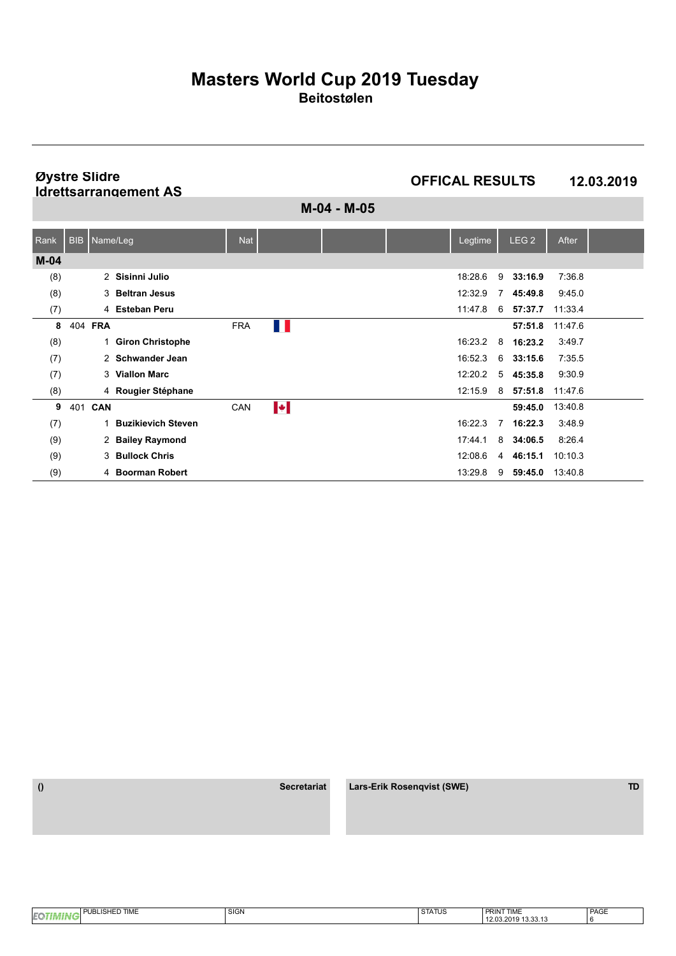**Øystre Slidre Idrettsarrangement AS**

**OFFICAL RESULTS 12.03.2019**

**M-04 - M-05**

| Rank   | BIB   Name/Leg |                           | <b>Nat</b> |                       |  | Legtime |                | LEG <sub>2</sub> | After   |  |
|--------|----------------|---------------------------|------------|-----------------------|--|---------|----------------|------------------|---------|--|
| $M-04$ |                |                           |            |                       |  |         |                |                  |         |  |
| (8)    |                | 2 Sisinni Julio           |            |                       |  | 18:28.6 | 9              | 33:16.9          | 7:36.8  |  |
| (8)    |                | 3 Beltran Jesus           |            |                       |  | 12:32.9 | $\overline{7}$ | 45:49.8          | 9:45.0  |  |
| (7)    |                | 4 Esteban Peru            |            |                       |  | 11:47.8 | 6              | 57:37.7          | 11:33.4 |  |
| 8      | 404 FRA        |                           | <b>FRA</b> | ш                     |  |         |                | 57:51.8          | 11:47.6 |  |
| (8)    | 1.             | <b>Giron Christophe</b>   |            |                       |  | 16:23.2 | 8              | 16:23.2          | 3:49.7  |  |
| (7)    |                | 2 Schwander Jean          |            |                       |  | 16:52.3 | 6              | 33:15.6          | 7:35.5  |  |
| (7)    |                | 3 Viallon Marc            |            |                       |  | 12:20.2 |                | $5$ 45:35.8      | 9:30.9  |  |
| (8)    |                | 4 Rougier Stéphane        |            |                       |  | 12:15.9 | 8              | 57:51.8          | 11:47.6 |  |
| 9      | 401 CAN        |                           | CAN        | $\blacktriangleright$ |  |         |                | 59:45.0          | 13:40.8 |  |
| (7)    |                | <b>Buzikievich Steven</b> |            |                       |  | 16:22.3 | $\overline{7}$ | 16:22.3          | 3:48.9  |  |
| (9)    |                | 2 Bailey Raymond          |            |                       |  | 17:44.1 | 8              | 34:06.5          | 8.26.4  |  |
| (9)    | 3              | <b>Bullock Chris</b>      |            |                       |  | 12:08.6 | $\overline{4}$ | 46:15.1          | 10:10.3 |  |
| (9)    | 4              | <b>Boorman Robert</b>     |            |                       |  | 13:29.8 | 9              | 59:45.0          | 13:40.8 |  |

 **() Secretariat Lars-Erik Rosenqvist (SWE) TD**

PAGE 6 **EOTIMING** PUBLISHED TIME SIGN SIGN SIGN STATUS **PRINT TIME**<br>12.03.2019 13.33.13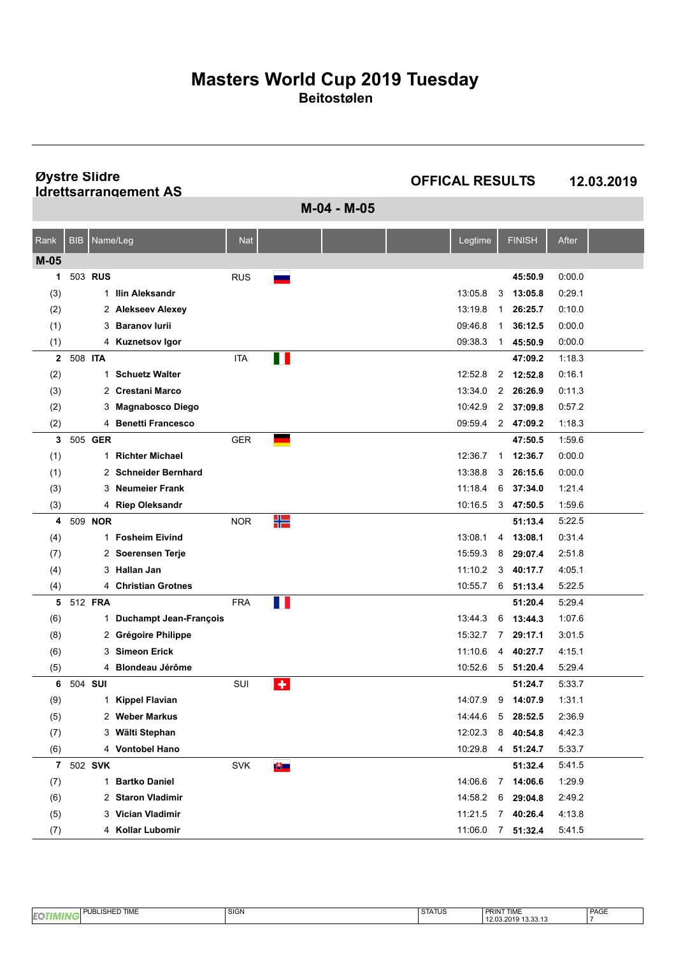**Øystre Slidre Idrettsarrangement AS**

**OFFICAL RESULTS 12.03.2019**

**M-04 - M-05**

| Rank         | <b>BIB</b> | Name/Leg       |                               | <b>Nat</b> |           |  | Legtime |              | <b>FINISH</b>       | After  |  |
|--------------|------------|----------------|-------------------------------|------------|-----------|--|---------|--------------|---------------------|--------|--|
| $M-05$       |            |                |                               |            |           |  |         |              |                     |        |  |
| 1            |            | 503 RUS        |                               | <b>RUS</b> |           |  |         |              | 45:50.9             | 0.00.0 |  |
| (3)          |            |                | 1 Ilin Aleksandr              |            |           |  | 13:05.8 | 3            | 13:05.8             | 0.29.1 |  |
| (2)          |            |                | 2 Alekseev Alexey             |            |           |  | 13:19.8 | 1            | 26:25.7             | 0:10.0 |  |
| (1)          |            | 3              | <b>Baranov lurii</b>          |            |           |  | 09:46.8 | 1            | 36:12.5             | 0.00.0 |  |
| (1)          |            |                | 4 Kuznetsov Igor              |            |           |  | 09:38.3 | 1            | 45:50.9             | 0.00.0 |  |
| $\mathbf{2}$ | 508 ITA    |                |                               | <b>ITA</b> | Ш         |  |         |              | 47:09.2             | 1:18.3 |  |
| (2)          |            | 1              | <b>Schuetz Walter</b>         |            |           |  | 12:52.8 |              | 2 12:52.8           | 0:16.1 |  |
| (3)          |            | 2              | <b>Crestani Marco</b>         |            |           |  | 13:34.0 |              | 2 26:26.9           | 0:11.3 |  |
| (2)          |            | 3              | <b>Magnabosco Diego</b>       |            |           |  | 10:42.9 |              | 2 37:09.8           | 0:57.2 |  |
| (2)          |            |                | 4 Benetti Francesco           |            |           |  | 09:59.4 |              | 2 47:09.2           | 1:18.3 |  |
| 3            |            | 505 GER        |                               | GER        |           |  |         |              | 47:50.5             | 1:59.6 |  |
| (1)          |            | 1              | <b>Richter Michael</b>        |            |           |  | 12:36.7 | $\mathbf{1}$ | 12:36.7             | 0.00.0 |  |
| (1)          |            |                | 2 Schneider Bernhard          |            |           |  | 13:38.8 | 3            | 26:15.6             | 0.00.0 |  |
| (3)          |            | 3              | <b>Neumeier Frank</b>         |            |           |  | 11:18.4 | 6            | 37:34.0             | 1.21.4 |  |
| (3)          |            |                | 4 Riep Oleksandr              |            |           |  | 10:16.5 |              | 347:50.5            | 1:59.6 |  |
| 4            |            | 509 <b>NOR</b> |                               | <b>NOR</b> | ╬         |  |         |              | 51:13.4             | 5:22.5 |  |
| (4)          |            | 1.             | <b>Fosheim Eivind</b>         |            |           |  | 13:08.1 | 4            | 13:08.1             | 0:31.4 |  |
| (7)          |            |                | 2 Soerensen Terje             |            |           |  | 15:59.3 | 8            | 29:07.4             | 2:51.8 |  |
| (4)          |            | 3              | <b>Hallan Jan</b>             |            |           |  | 11:10.2 | 3            | 40:17.7             | 4:05.1 |  |
| (4)          |            |                | 4 Christian Grotnes           |            |           |  | 10:55.7 |              | $6$ 51:13.4         | 5:22.5 |  |
| 5            |            | 512 FRA        |                               | <b>FRA</b> | H         |  |         |              | 51:20.4             | 5:29.4 |  |
| (6)          |            | 1.             | <b>Duchampt Jean-François</b> |            |           |  | 13:44.3 | 6            | 13:44.3             | 1:07.6 |  |
| (8)          |            |                | 2 Grégoire Philippe           |            |           |  | 15:32.7 | 7            | 29:17.1             | 3:01.5 |  |
| (6)          |            | 3              | <b>Simeon Erick</b>           |            |           |  | 11:10.6 | 4            | 40:27.7             | 4:15.1 |  |
| (5)          |            |                | 4 Blondeau Jérôme             |            |           |  | 10:52.6 |              | $5$ $51:20.4$       | 5:29.4 |  |
| 6            | 504 SUI    |                |                               | SUI        | $\bullet$ |  |         |              | 51:24.7             | 5:33.7 |  |
| (9)          |            | 1.             | <b>Kippel Flavian</b>         |            |           |  | 14:07.9 | 9            | 14:07.9             | 1:31.1 |  |
| (5)          |            | 2              | <b>Weber Markus</b>           |            |           |  | 14:44.6 | 5            | 28:52.5             | 2:36.9 |  |
| (7)          |            |                | 3 Wälti Stephan               |            |           |  | 12:02.3 | 8            | 40:54.8             | 4.42.3 |  |
| (6)          |            |                | 4 Vontobel Hano               |            |           |  |         |              | 10:29.8  4  51:24.7 | 5:33.7 |  |
| 7            |            | 502 SVK        |                               | <b>SVK</b> | ७≡        |  |         |              | 51:32.4             | 5:41.5 |  |
| (7)          |            |                | 1 Bartko Daniel               |            |           |  | 14:06.6 |              | 7 14:06.6           | 1:29.9 |  |
| (6)          |            |                | 2 Staron Vladimir             |            |           |  | 14:58.2 | 6            | 29:04.8             | 2:49.2 |  |
| (5)          |            |                | 3 Vician Vladimir             |            |           |  | 11:21.5 | 7            | 40:26.4             | 4:13.8 |  |
| (7)          |            |                | 4 Kollar Lubomir              |            |           |  | 11:06.0 |              | $7$ 51:32.4         | 5:41.5 |  |

| <b>TIME</b><br>$\sim$<br><b>IEC</b> | $\sim$<br>$\sim$<br>יוטוט | 271712<br>5 IAIUS | <b>CINAF</b><br>∽rklN<br>I IIVIL             | PAGE |
|-------------------------------------|---------------------------|-------------------|----------------------------------------------|------|
| . .                                 |                           |                   | .<br><br>0010<br>.<br>12.03.2019<br>10.00.10 |      |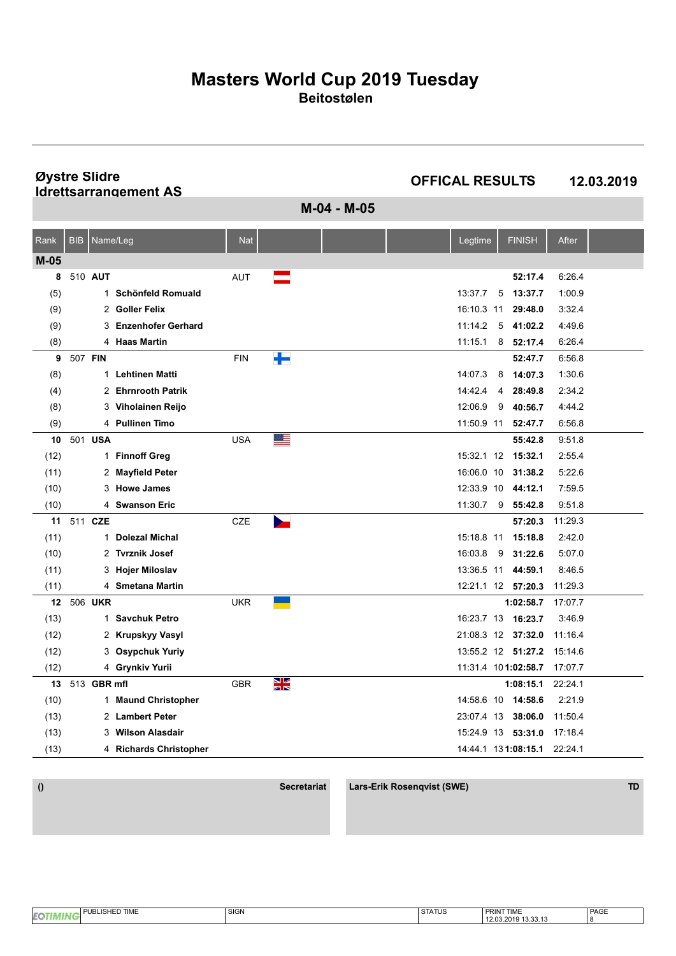**Øystre Slidre Idrettsarrangement AS**

**OFFICAL RESULTS 12.03.2019**

**M-04 - M-05**

| Rank   | <b>BIB</b>  |                | Name/Leg                  | <b>Nat</b> |           |  | Legtime    | <b>FINISH</b>       | After   |  |
|--------|-------------|----------------|---------------------------|------------|-----------|--|------------|---------------------|---------|--|
| $M-05$ |             |                |                           |            |           |  |            |                     |         |  |
| 8      | 510 AUT     |                |                           | <b>AUT</b> |           |  |            | 52:17.4             | 6:26.4  |  |
| (5)    |             | $\mathbf{1}$   | <b>Schönfeld Romuald</b>  |            |           |  | 13:37.7    | 5<br>13:37.7        | 1:00.9  |  |
| (9)    |             | $\overline{2}$ | <b>Goller Felix</b>       |            |           |  | 16:10.3    | 29:48.0<br>11       | 3:32.4  |  |
| (9)    |             | 3              | <b>Enzenhofer Gerhard</b> |            |           |  | 11:14.2    | 5<br>41:02.2        | 4:49.6  |  |
| (8)    |             |                | 4 Haas Martin             |            |           |  | 11:15.1    | 8<br>52:17.4        | 6:26.4  |  |
| 9      | 507 FIN     |                |                           | <b>FIN</b> | ╄         |  |            | 52:47.7             | 6:56.8  |  |
| (8)    |             | 1              | <b>Lehtinen Matti</b>     |            |           |  | 14:07.3    | 14:07.3<br>8        | 1:30.6  |  |
| (4)    |             |                | 2 Ehrnrooth Patrik        |            |           |  | 14:42.4    | 28:49.8<br>4        | 2:34.2  |  |
| (8)    |             |                | 3 Viholainen Reijo        |            |           |  | 12:06.9    | 9<br>40:56.7        | 4:44.2  |  |
| (9)    |             |                | 4 Pullinen Timo           |            |           |  | 11:50.9 11 | 52:47.7             | 6:56.8  |  |
| 10     | 501 USA     |                |                           | <b>USA</b> | ≝         |  |            | 55:42.8             | 9:51.8  |  |
| (12)   |             |                | 1 Finnoff Greg            |            |           |  | 15:32.1 12 | 15:32.1             | 2:55.4  |  |
| (11)   |             |                | 2 Mayfield Peter          |            |           |  | 16:06.0 10 | 31:38.2             | 5:22.6  |  |
| (10)   |             | 3              | <b>Howe James</b>         |            |           |  | 12:33.9 10 | 44:12.1             | 7:59.5  |  |
| (10)   |             |                | 4 Swanson Eric            |            |           |  | 11:30.7    | 9, 55:42.8          | 9:51.8  |  |
| 11     | 511 CZE     |                |                           | <b>CZE</b> |           |  |            | 57:20.3             | 11:29.3 |  |
| (11)   |             | $\mathbf{1}$   | <b>Dolezal Michal</b>     |            |           |  | 15:18.8 11 | 15:18.8             | 2:42.0  |  |
| (10)   |             |                | 2 Tvrznik Josef           |            |           |  | 16:03.8    | 9<br>31:22.6        | 5:07.0  |  |
| (11)   |             |                | 3 Hojer Miloslav          |            |           |  | 13:36.5 11 | 44:59.1             | 8:46.5  |  |
| (11)   |             |                | 4 Smetana Martin          |            |           |  |            | 12:21.1 12 57:20.3  | 11:29.3 |  |
| 12     | 506 UKR     |                |                           | <b>UKR</b> |           |  |            | 1:02:58.7           | 17:07.7 |  |
| (13)   |             | 1              | <b>Savchuk Petro</b>      |            |           |  | 16:23.7 13 | 16:23.7             | 3:46.9  |  |
| (12)   |             |                | 2 Krupskyy Vasyl          |            |           |  |            | 21:08.3 12 37:32.0  | 11:16.4 |  |
| (12)   |             |                | 3 Osypchuk Yuriy          |            |           |  |            | 13:55.2 12 51:27.2  | 15:14.6 |  |
| (12)   |             |                | 4 Grynkiv Yurii           |            |           |  |            | 11:31.4 101:02:58.7 | 17:07.7 |  |
| 13     | 513 GBR mfl |                |                           | <b>GBR</b> | <u>як</u> |  |            | 1:08:15.1           | 22:24.1 |  |
| (10)   |             | 1.             | <b>Maund Christopher</b>  |            |           |  |            | 14:58.6 10 14:58.6  | 2:21.9  |  |
| (13)   |             |                | 2 Lambert Peter           |            |           |  |            | 23:07.4 13 38:06.0  | 11:50.4 |  |
| (13)   |             | 3              | <b>Wilson Alasdair</b>    |            |           |  |            | 15:24.9 13 53:31.0  | 17:18.4 |  |
| (13)   |             |                | 4 Richards Christopher    |            |           |  |            | 14:44.1 131:08:15.1 | 22:24.1 |  |

 **() Secretariat Lars-Erik Rosenqvist (SWE) TD**

PAGE 8 **EOTIMING** PUBLISHED TIME SIGN SIGN SIGN STATUS **PRINT TIME**<br>12.03.2019 13.33.13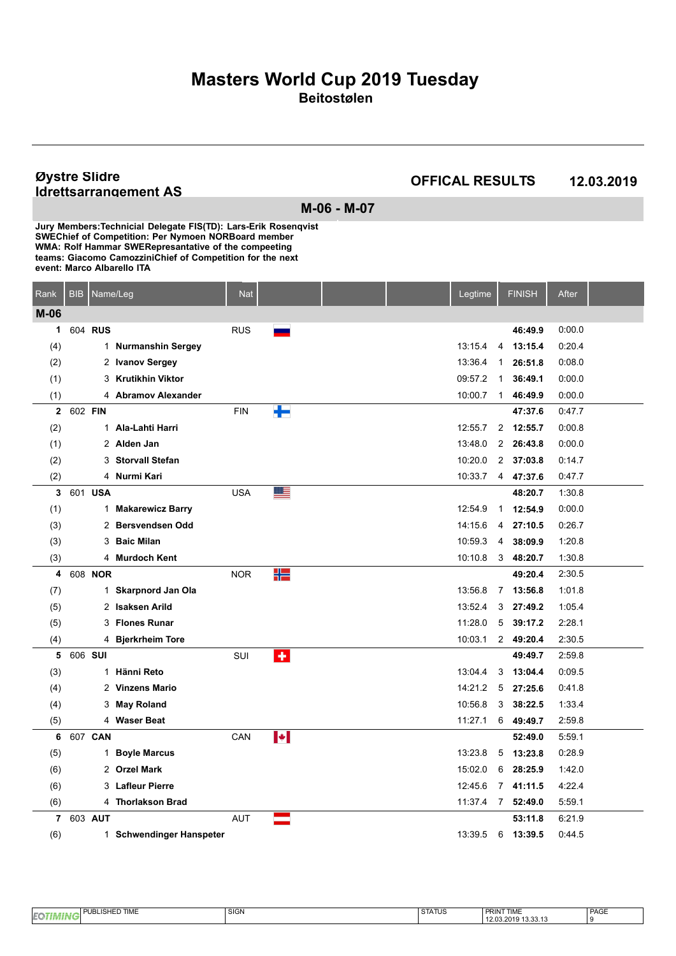#### **Øystre Slidre Idrettsarrangement AS**

**OFFICAL RESULTS 12.03.2019**

**M-06 - M-07 Jury Members: Technicial Delegate FIS(TD): Lars-Erik Rosenqvist SWEChief of Competition: Per Nymoen NORBoard member WMA: Rolf Hammar SWERepresantative of the compeeting**

**teams: Giacomo CamozziniChief of Competition for the next**

**event: Marco Albarello ITA**

| Rank           | <b>BIB</b> | Name/Leg |                          | <b>Nat</b> |    |  | Legtime |                | <b>FINISH</b> | After  |  |
|----------------|------------|----------|--------------------------|------------|----|--|---------|----------------|---------------|--------|--|
| $M-06$         |            |          |                          |            |    |  |         |                |               |        |  |
| 1              |            | 604 RUS  |                          | <b>RUS</b> |    |  |         |                | 46:49.9       | 0:00.0 |  |
| (4)            |            |          | 1 Nurmanshin Sergey      |            |    |  | 13:15.4 | 4              | 13:15.4       | 0:20.4 |  |
| (2)            |            |          | 2 Ivanov Sergey          |            |    |  | 13:36.4 | $\mathbf{1}$   | 26:51.8       | 0.08.0 |  |
| (1)            |            |          | 3 Krutikhin Viktor       |            |    |  | 09:57.2 | $\mathbf 1$    | 36:49.1       | 0:00.0 |  |
| (1)            |            |          | 4 Abramov Alexander      |            |    |  | 10:00.7 | $\mathbf{1}$   | 46:49.9       | 0:00.0 |  |
| $\mathbf{2}$   | 602 FIN    |          |                          | <b>FIN</b> | ▜▀ |  |         |                | 47:37.6       | 0:47.7 |  |
| (2)            |            |          | 1 Ala-Lahti Harri        |            |    |  | 12:55.7 | $\overline{2}$ | 12:55.7       | 0:00.8 |  |
| (1)            |            |          | 2 Alden Jan              |            |    |  | 13:48.0 |                | 2 26:43.8     | 0.00.0 |  |
| (2)            |            |          | 3 Storvall Stefan        |            |    |  | 10:20.0 |                | 2 37:03.8     | 0.14.7 |  |
| (2)            |            |          | 4 Nurmi Kari             |            |    |  | 10:33.7 | 4              | 47:37.6       | 0.47.7 |  |
| 3              |            | 601 USA  |                          | <b>USA</b> | ≝  |  |         |                | 48:20.7       | 1:30.8 |  |
| (1)            |            |          | 1 Makarewicz Barry       |            |    |  | 12:54.9 | $\mathbf{1}$   | 12:54.9       | 0.00.0 |  |
| (3)            |            |          | 2 Bersvendsen Odd        |            |    |  | 14:15.6 | 4              | 27:10.5       | 0:26.7 |  |
| (3)            |            |          | 3 Baic Milan             |            |    |  | 10:59.3 | 4              | 38:09.9       | 1:20.8 |  |
| (3)            |            |          | 4 Murdoch Kent           |            |    |  | 10:10.8 | 3              | 48:20.7       | 1:30.8 |  |
| 4              |            | 608 NOR  |                          | <b>NOR</b> | ₩  |  |         |                | 49:20.4       | 2:30.5 |  |
| (7)            |            |          | 1 Skarpnord Jan Ola      |            |    |  | 13:56.8 | 7              | 13:56.8       | 1.01.8 |  |
| (5)            |            |          | 2 Isaksen Arild          |            |    |  | 13.52.4 | 3              | 27:49.2       | 1:05.4 |  |
| (5)            |            |          | 3 Flones Runar           |            |    |  | 11:28.0 | 5              | 39:17.2       | 2:28.1 |  |
| (4)            |            |          | 4 Bjerkrheim Tore        |            |    |  | 10:03.1 |                | 2 49:20.4     | 2:30.5 |  |
| 5              | 606 SUI    |          |                          | SUI        | ÷  |  |         |                | 49:49.7       | 2:59.8 |  |
| (3)            |            |          | 1 Hänni Reto             |            |    |  | 13:04.4 | 3              | 13:04.4       | 0.09.5 |  |
| (4)            |            |          | 2 Vinzens Mario          |            |    |  | 14:21.2 | 5              | 27:25.6       | 0.41.8 |  |
| (4)            |            |          | 3 May Roland             |            |    |  | 10.56.8 | 3              | 38:22.5       | 1:33.4 |  |
| (5)            |            |          | 4 Waser Beat             |            |    |  | 11:27.1 | 6              | 49:49.7       | 2:59.8 |  |
| 6              |            | 607 CAN  |                          | CAN        | ŀI |  |         |                | 52:49.0       | 5:59.1 |  |
| (5)            |            |          | 1 Boyle Marcus           |            |    |  | 13:23.8 | 5              | 13:23.8       | 0:28.9 |  |
| (6)            |            |          | 2 Orzel Mark             |            |    |  | 15:02.0 | 6              | 28:25.9       | 1:42.0 |  |
| (6)            |            |          | 3 Lafleur Pierre         |            |    |  | 12:45.6 | $\overline{7}$ | 41:11.5       | 4:22.4 |  |
| (6)            |            |          | 4 Thorlakson Brad        |            |    |  | 11:37.4 |                | 7 52:49.0     | 5:59.1 |  |
| $\overline{7}$ |            | 603 AUT  |                          | <b>AUT</b> |    |  |         |                | 53:11.8       | 6:21.9 |  |
| (6)            |            |          | 1 Schwendinger Hanspeter |            |    |  | 13:39.5 | 6              | 13:39.5       | 0.44.5 |  |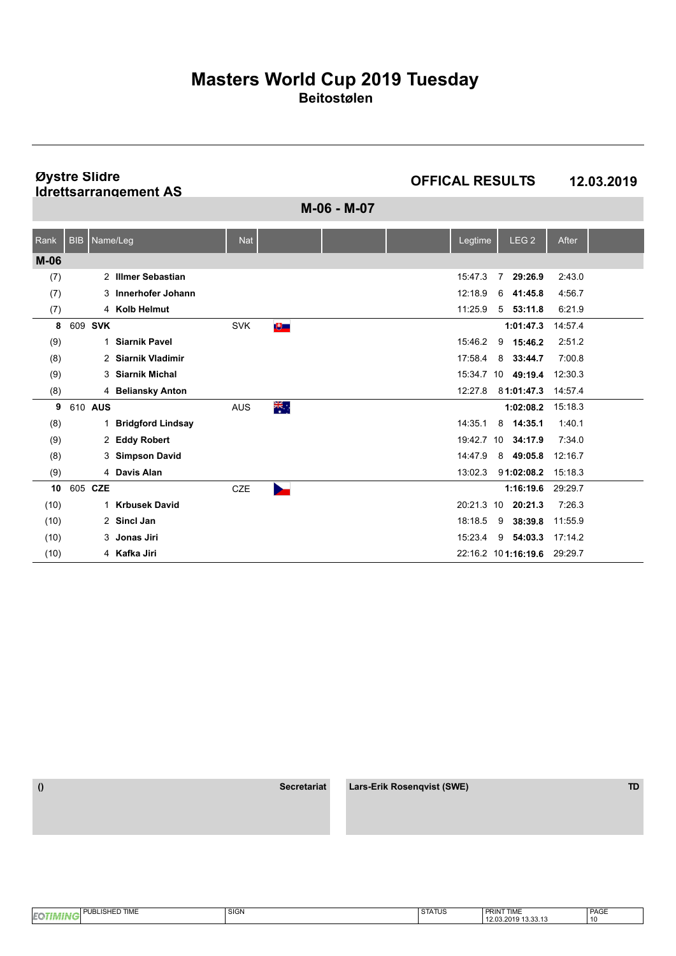**Øystre Slidre Idrettsarrangement AS**

**OFFICAL RESULTS 12.03.2019**

**M-06 - M-07**

| Rank   | <b>BIB</b> | Name/Leg                  | <b>Nat</b> |          |  | Legtime    |                | LEG <sub>2</sub>            | After   |  |
|--------|------------|---------------------------|------------|----------|--|------------|----------------|-----------------------------|---------|--|
| $M-06$ |            |                           |            |          |  |            |                |                             |         |  |
| (7)    |            | 2 Illmer Sebastian        |            |          |  | 15:47.3    | $\overline{7}$ | 29:26.9                     | 2:43.0  |  |
| (7)    |            | 3 Innerhofer Johann       |            |          |  | 12:18.9    | 6              | 41:45.8                     | 4:56.7  |  |
| (7)    |            | 4 Kolb Helmut             |            |          |  | 11:25.9    |                | $5$ $53:11.8$               | 6:21.9  |  |
| 8      | 609 SVK    |                           | <b>SVK</b> | 专        |  |            |                | 1:01:47.3                   | 14:57.4 |  |
| (9)    |            | <b>Siarnik Pavel</b><br>1 |            |          |  | 15:46.2    | 9              | 15:46.2                     | 2:51.2  |  |
| (8)    |            | 2 Siarnik Vladimir        |            |          |  | 17:58.4    |                | 8 33:44.7                   | 7:00.8  |  |
| (9)    |            | 3 Siarnik Michal          |            |          |  |            |                | 15:34.7 10 49:19.4          | 12:30.3 |  |
| (8)    |            | 4 Beliansky Anton         |            |          |  | 12:27.8    |                | 81:01:47.3                  | 14:57.4 |  |
| 9      | 610 AUS    |                           | <b>AUS</b> | ू<br>कर् |  |            |                | 1:02:08.2                   | 15:18.3 |  |
| (8)    |            | 1 Bridgford Lindsay       |            |          |  | 14:35.1    | 8              | 14:35.1                     | 1:40.1  |  |
| (9)    |            | 2 Eddy Robert             |            |          |  | 19:42.7    |                | 10 34:17.9                  | 7:34.0  |  |
| (8)    |            | 3 Simpson David           |            |          |  | 14:47.9    |                | 8 49:05.8                   | 12:16.7 |  |
| (9)    |            | 4 Davis Alan              |            |          |  | 13:02.3    |                | 91:02:08.2                  | 15:18.3 |  |
| 10     | 605 CZE    |                           | <b>CZE</b> |          |  |            |                | 1:16:19.6                   | 29:29.7 |  |
| (10)   |            | 1 Krbusek David           |            |          |  | 20:21.3 10 |                | 20:21.3                     | 7:26.3  |  |
| (10)   |            | 2 Sincl Jan               |            |          |  | 18:18.5    | 9              | 38:39.8                     | 11:55.9 |  |
| (10)   |            | 3 Jonas Jiri              |            |          |  | 15:23.4    | 9              | 54:03.3                     | 17:14.2 |  |
| (10)   |            | 4 Kafka Jiri              |            |          |  |            |                | 22:16.2 101:16:19.6 29:29.7 |         |  |

| <b>BLISHED TIME</b><br>. .<br> | SIGN | <b>STATUS</b> | PRINT TIME                                        | <b>PAGE</b><br>____ |
|--------------------------------|------|---------------|---------------------------------------------------|---------------------|
| <b>IEQ</b>                     |      |               | $\sim$ $\sim$<br>12.03.2019<br>$\sim$<br>19.99.19 | ' 10                |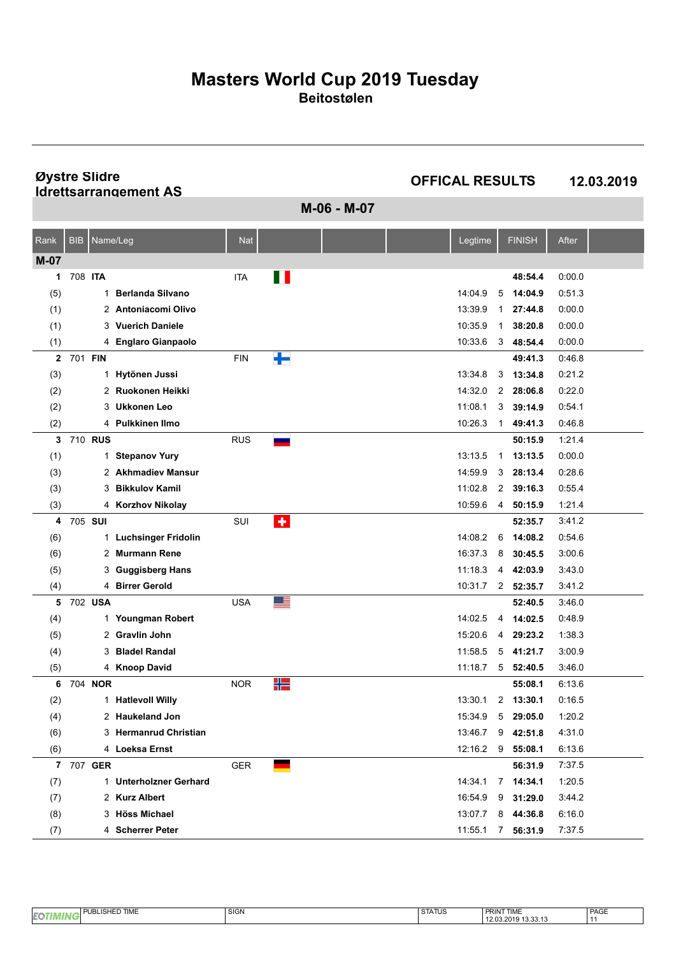**Øystre Slidre Idrettsarrangement AS**

**OFFICAL RESULTS 12.03.2019**

**M-06 - M-07**

| Rank         | <b>BIB</b> | Name/Leg     |                            | <b>Nat</b> |           |  | Legtime           |              | <b>FINISH</b> | After  |  |
|--------------|------------|--------------|----------------------------|------------|-----------|--|-------------------|--------------|---------------|--------|--|
| $M-07$       |            |              |                            |            |           |  |                   |              |               |        |  |
| 1            | 708 ITA    |              |                            | <b>ITA</b> | ╻╻        |  |                   |              | 48:54.4       | 0:00.0 |  |
| (5)          |            | $\mathbf{1}$ | <b>Berlanda Silvano</b>    |            |           |  | 14:04.9           | 5            | 14:04.9       | 0.51.3 |  |
| (1)          |            |              | 2 Antoniacomi Olivo        |            |           |  | 13:39.9           | 1            | 27:44.8       | 0:00.0 |  |
| (1)          |            | 3            | <b>Vuerich Daniele</b>     |            |           |  | 10:35.9           | 1            | 38:20.8       | 0.00.0 |  |
| (1)          |            | 4            | <b>Englaro Gianpaolo</b>   |            |           |  | 10:33.6           | 3            | 48:54.4       | 0:00.0 |  |
| $\mathbf{2}$ | 701 FIN    |              |                            | <b>FIN</b> | ╇         |  |                   |              | 49:41.3       | 0.46.8 |  |
| (3)          |            | 1            | Hytönen Jussi              |            |           |  | 13:34.8           | 3            | 13:34.8       | 0:21.2 |  |
| (2)          |            | 2            | Ruokonen Heikki            |            |           |  | 14:32.0           | 2            | 28:06.8       | 0:22.0 |  |
| (2)          |            | 3            | <b>Ukkonen Leo</b>         |            |           |  | 11:08.1           | 3            | 39:14.9       | 0.54.1 |  |
| (2)          |            |              | 4 Pulkkinen Ilmo           |            |           |  | 10:26.3           | 1            | 49:41.3       | 0.46.8 |  |
| 3            |            | 710 RUS      |                            | <b>RUS</b> |           |  |                   |              | 50:15.9       | 1:21.4 |  |
| (1)          |            |              | 1 Stepanov Yury            |            |           |  | 13:13.5           | $\mathbf{1}$ | 13:13.5       | 0.00.0 |  |
| (3)          |            | 2            | <b>Akhmadiev Mansur</b>    |            |           |  | 14.59.9           | 3            | 28:13.4       | 0.28.6 |  |
| (3)          |            | 3            | <b>Bikkulov Kamil</b>      |            |           |  | 11:02.8           | 2            | 39:16.3       | 0.55.4 |  |
| (3)          |            |              | 4 Korzhov Nikolay          |            |           |  | 10:59.6           | 4            | 50:15.9       | 1:21.4 |  |
| 4            | 705 SUI    |              |                            | SUI        | $\bullet$ |  |                   |              | 52:35.7       | 3:41.2 |  |
| (6)          |            | 1.           | <b>Luchsinger Fridolin</b> |            |           |  | 14:08.2           | 6            | 14:08.2       | 0:54.6 |  |
| (6)          |            | 2            | <b>Murmann Rene</b>        |            |           |  | 16:37.3           | 8            | 30:45.5       | 3:00.6 |  |
| (5)          |            | 3            | <b>Guggisberg Hans</b>     |            |           |  | 11:18.3           | 4            | 42:03.9       | 3:43.0 |  |
| (4)          |            |              | 4 Birrer Gerold            |            |           |  | 10:31.7           |              | 2 52:35.7     | 3:41.2 |  |
| 5            |            | 702 USA      |                            | USA        | ▆▆        |  |                   |              | 52:40.5       | 3:46.0 |  |
| (4)          |            |              | 1 Youngman Robert          |            |           |  | 14:02.5           | 4            | 14:02.5       | 0.48.9 |  |
| (5)          |            | 2            | <b>Gravlin John</b>        |            |           |  | 15:20.6           | 4            | 29:23.2       | 1:38.3 |  |
| (4)          |            | 3            | <b>Bladel Randal</b>       |            |           |  | 11:58.5           | 5            | 41:21.7       | 3:00.9 |  |
| (5)          |            |              | 4 Knoop David              |            |           |  | 11:18.7           | 5            | 52:40.5       | 3:46.0 |  |
| 6            |            | 704 NOR      |                            | <b>NOR</b> | ₩         |  |                   |              | 55:08.1       | 6:13.6 |  |
| (2)          |            |              | 1 Hatlevoll Willy          |            |           |  | 13:30.1           | 2            | 13:30.1       | 0:16.5 |  |
| (4)          |            | 2            | <b>Haukeland Jon</b>       |            |           |  | 15:34.9           | 5            | 29:05.0       | 1:20.2 |  |
| (6)          |            | 3            | <b>Hermanrud Christian</b> |            |           |  | 13:46.7           | 9            | 42:51.8       | 4:31.0 |  |
| (6)          |            |              | 4 Loeksa Ernst             |            |           |  | 12:16.2 9 55:08.1 |              |               | 6:13.6 |  |
|              |            | 7 707 GER    |                            | GER        |           |  |                   |              | 56:31.9       | 7:37.5 |  |
| (7)          |            |              | 1 Unterholzner Gerhard     |            |           |  | 14:34:1           |              | $7$ 14:34.1   | 1:20.5 |  |
| (7)          |            |              | 2 Kurz Albert              |            |           |  | 16:54.9           | 9            | 31:29.0       | 3:44.2 |  |
| (8)          |            |              | 3 Höss Michael             |            |           |  | 13:07.7           | 8            | 44:36.8       | 6:16.0 |  |
| (7)          |            |              | 4 Scherrer Peter           |            |           |  | 11:55.1           | 7            | 56:31.9       | 7:37.5 |  |

|    | <b>TIME</b><br>$\overline{\phantom{0}}$<br>--<br><br>-<br>JD. | $\sim$<br>---<br>יוטוט | $\sim$<br><b>SIAIUS</b> | <b>PRINT TIME</b>                        | PAGE |
|----|---------------------------------------------------------------|------------------------|-------------------------|------------------------------------------|------|
| EQ |                                                               |                        |                         | $\sim$<br>، دلایا ۱۷<br>2015<br>19.99.19 |      |
|    |                                                               |                        |                         |                                          |      |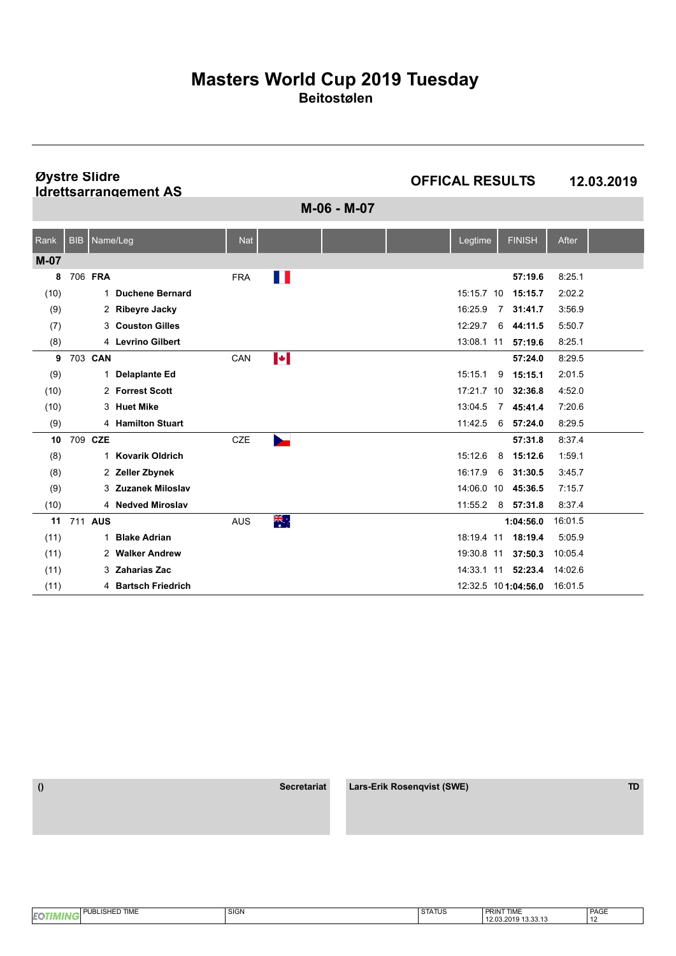**Øystre Slidre Idrettsarrangement AS**

**OFFICAL RESULTS 12.03.2019**

**M-06 - M-07**

| Rank   | <b>BIB</b> | Name/Leg    |                        | <b>Nat</b> |       |  | Legtime    |    | <b>FINISH</b>       | After   |  |
|--------|------------|-------------|------------------------|------------|-------|--|------------|----|---------------------|---------|--|
| $M-07$ |            |             |                        |            |       |  |            |    |                     |         |  |
| 8      |            | 706 FRA     |                        | <b>FRA</b> | Ш     |  |            |    | 57:19.6             | 8:25.1  |  |
| (10)   |            | $\mathbf 1$ | <b>Duchene Bernard</b> |            |       |  | 15:15.7 10 |    | 15:15.7             | 2:02.2  |  |
| (9)    |            |             | 2 Ribeyre Jacky        |            |       |  | 16:25.9    | 7  | 31:41.7             | 3:56.9  |  |
| (7)    |            |             | 3 Couston Gilles       |            |       |  | 12:29.7    | 6  | 44:11.5             | 5:50.7  |  |
| (8)    |            |             | 4 Levrino Gilbert      |            |       |  | 13:08.1 11 |    | 57:19.6             | 8:25.1  |  |
| 9      |            | 703 CAN     |                        | CAN        | ŀ     |  |            |    | 57:24.0             | 8:29.5  |  |
| (9)    |            | 1           | <b>Delaplante Ed</b>   |            |       |  | 15:15.1    | 9  | 15:15.1             | 2:01.5  |  |
| (10)   |            |             | 2 Forrest Scott        |            |       |  | 17:21.7    | 10 | 32:36.8             | 4:52.0  |  |
| (10)   |            |             | 3 Huet Mike            |            |       |  | 13:04.5    | 7  | 45:41.4             | 7:20.6  |  |
| (9)    |            |             | 4 Hamilton Stuart      |            |       |  | 11:42.5    | 6  | 57:24.0             | 8:29.5  |  |
| 10     |            | 709 CZE     |                        | CZE        |       |  |            |    | 57:31.8             | 8:37.4  |  |
| (8)    |            | 1           | <b>Kovarik Oldrich</b> |            |       |  | 15:12.6    | 8  | 15:12.6             | 1:59.1  |  |
| (8)    |            |             | 2 Zeller Zbynek        |            |       |  | 16:17.9    | 6  | 31:30.5             | 3:45.7  |  |
| (9)    |            |             | 3 Zuzanek Miloslav     |            |       |  | 14:06.0    | 10 | 45:36.5             | 7:15.7  |  |
| (10)   |            |             | 4 Nedved Miroslav      |            |       |  | 11:55.2    |    | $8$ 57:31.8         | 8:37.4  |  |
| 11     |            | 711 AUS     |                        | <b>AUS</b> | ्रेल् |  |            |    | 1:04:56.0           | 16:01.5 |  |
| (11)   |            | 1           | <b>Blake Adrian</b>    |            |       |  | 18:19.4 11 |    | 18:19.4             | 5:05.9  |  |
| (11)   |            |             | 2 Walker Andrew        |            |       |  | 19:30.8 11 |    | 37:50.3             | 10:05.4 |  |
| (11)   |            | 3           | <b>Zaharias Zac</b>    |            |       |  | 14:33.1    | 11 | 52:23.4             | 14:02.6 |  |
| (11)   |            |             | 4 Bartsch Friedrich    |            |       |  |            |    | 12:32.5 101:04:56.0 | 16:01.5 |  |

| <b>BLISHED TIME</b><br>En | <b>SIGN</b> | <b>STATUS</b> | <b>PRINT TIME</b>                                          | PAGE |
|---------------------------|-------------|---------------|------------------------------------------------------------|------|
| œ                         |             |               | $\sim$ $\sim$ $\sim$ $\sim$<br>12.03.2019<br>.<br>19.99.19 |      |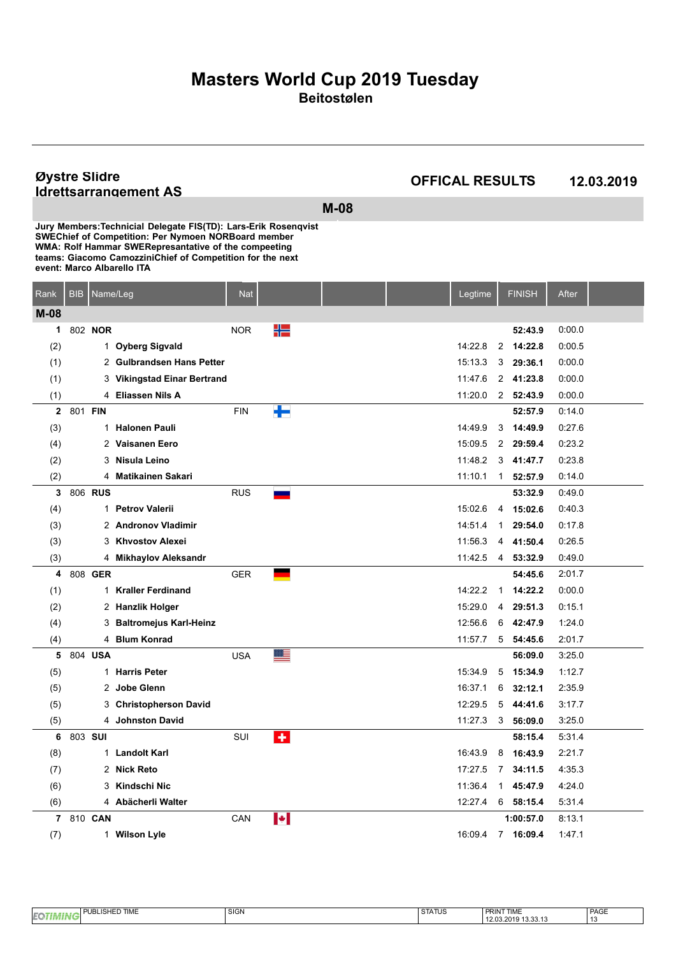#### **Øystre Slidre Idrettsarrangement AS**

**OFFICAL RESULTS 12.03.2019**

**M-08**

| Rank         | <b>BIB</b> | Name/Leg |                             | <b>Nat</b> |   |  | Legtime |                | <b>FINISH</b>    | After  |  |
|--------------|------------|----------|-----------------------------|------------|---|--|---------|----------------|------------------|--------|--|
| $M-08$       |            |          |                             |            |   |  |         |                |                  |        |  |
| 1            |            | 802 NOR  |                             | <b>NOR</b> | ₩ |  |         |                | 52:43.9          | 0.00.0 |  |
| (2)          |            |          | 1 Oyberg Sigvald            |            |   |  | 14:22.8 | $\overline{2}$ | 14:22.8          | 0:00.5 |  |
| (1)          |            |          | 2 Gulbrandsen Hans Petter   |            |   |  | 15.13.3 | 3              | 29:36.1          | 0:00.0 |  |
| (1)          |            |          | 3 Vikingstad Einar Bertrand |            |   |  | 11:47.6 |                | 2 41:23.8        | 0.00.0 |  |
| (1)          |            |          | 4 Eliassen Nils A           |            |   |  | 11:20.0 |                | 2 52:43.9        | 0.00.0 |  |
| $\mathbf{2}$ | 801 FIN    |          |                             | <b>FIN</b> | ╆ |  |         |                | 52:57.9          | 0.14.0 |  |
| (3)          |            |          | 1 Halonen Pauli             |            |   |  | 14:49.9 | 3              | 14:49.9          | 0.27.6 |  |
| (4)          |            |          | 2 Vaisanen Eero             |            |   |  | 15:09.5 | $\overline{2}$ | 29:59.4          | 0.23.2 |  |
| (2)          |            |          | 3 Nisula Leino              |            |   |  | 11:48.2 |                | 341:47.7         | 0:23.8 |  |
| (2)          |            |          | 4 Matikainen Sakari         |            |   |  | 11:10.1 | $\mathbf{1}$   | 52:57.9          | 0:14.0 |  |
| 3            |            | 806 RUS  |                             | <b>RUS</b> |   |  |         |                | 53:32.9          | 0.49.0 |  |
| (4)          |            |          | 1 Petrov Valerii            |            |   |  | 15:02.6 | 4              | 15:02.6          | 0.40.3 |  |
| (3)          |            |          | 2 Andronov Vladimir         |            |   |  | 14:51.4 | $\mathbf{1}$   | 29:54.0          | 0.17.8 |  |
| (3)          |            |          | 3 Khyostov Alexei           |            |   |  | 11:56.3 | 4              | 41:50.4          | 0.26.5 |  |
| (3)          |            |          | 4 Mikhaylov Aleksandr       |            |   |  | 11:42.5 | $\overline{4}$ | 53:32.9          | 0.49.0 |  |
| 4            |            | 808 GER  |                             | <b>GER</b> |   |  |         |                | 54:45.6          | 2:01.7 |  |
| (1)          |            |          | 1 Kraller Ferdinand         |            |   |  | 14:22.2 | $\mathbf 1$    | 14:22.2          | 0:00.0 |  |
| (2)          |            |          | 2 Hanzlik Holger            |            |   |  | 15:29.0 | 4              | 29:51.3          | 0:15.1 |  |
| (4)          |            |          | 3 Baltromejus Karl-Heinz    |            |   |  | 12:56.6 | 6              | 42:47.9          | 1.24.0 |  |
| (4)          |            |          | 4 Blum Konrad               |            |   |  | 11:57.7 |                | $5\quad 54:45.6$ | 2:01.7 |  |
| 5            |            | 804 USA  |                             | <b>USA</b> | ≣ |  |         |                | 56:09.0          | 3:25.0 |  |
| (5)          |            |          | 1 Harris Peter              |            |   |  | 15:34.9 | 5              | 15:34.9          | 1:12.7 |  |
| (5)          |            |          | 2 Jobe Glenn                |            |   |  | 16:37.1 | 6              | 32:12.1          | 2.35.9 |  |
| (5)          |            |          | 3 Christopherson David      |            |   |  | 12:29.5 | 5              | 44:41.6          | 3:17.7 |  |
| (5)          |            |          | 4 Johnston David            |            |   |  | 11:27.3 | 3              | 56:09.0          | 3:25.0 |  |
| 6            |            | 803 SUI  |                             | SUI        | ٠ |  |         |                | 58:15.4          | 5.31.4 |  |
| (8)          |            |          | 1 Landolt Karl              |            |   |  | 16:43.9 | 8              | 16:43.9          | 2:21.7 |  |
| (7)          |            |          | 2 Nick Reto                 |            |   |  | 17:27.5 | 7              | 34:11.5          | 4:35.3 |  |
| (6)          |            |          | 3 Kindschi Nic              |            |   |  | 11:36.4 | 1              | 45:47.9          | 4 24 0 |  |
| (6)          |            |          | 4 Abächerli Walter          |            |   |  | 12:27.4 |                | $6$ 58:15.4      | 5.31.4 |  |
| 7            |            | 810 CAN  |                             | CAN        | И |  |         |                | 1:00:57.0        | 8:13.1 |  |
| (7)          |            |          | 1 Wilson Lyle               |            |   |  | 16:09.4 |                | 7 16:09.4        | 1:47.1 |  |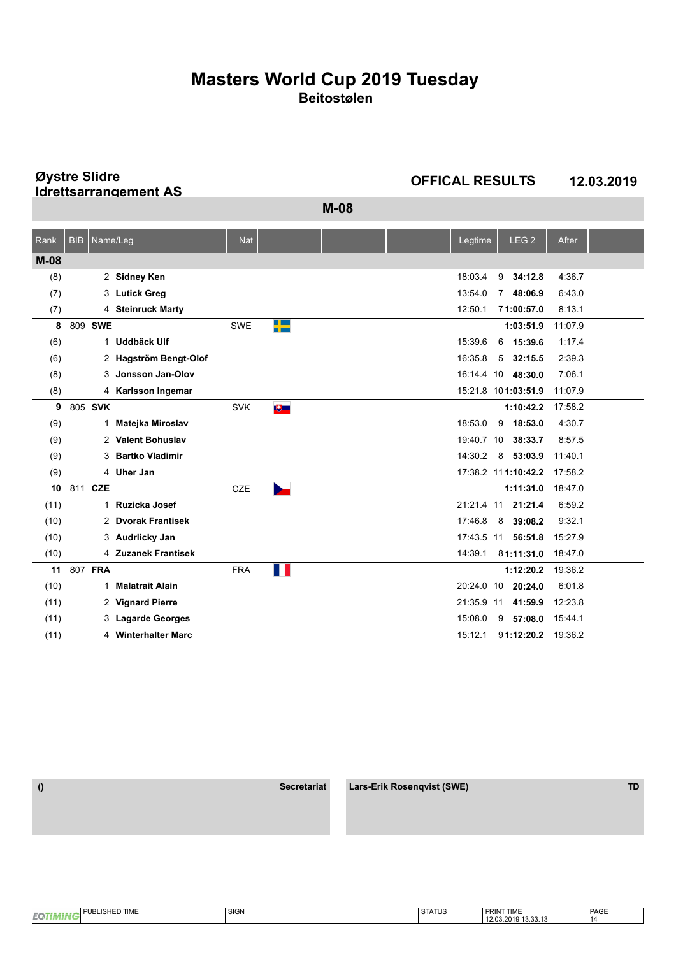**Øystre Slidre Idrettsarrangement AS**

**OFFICAL RESULTS 12.03.2019**

**M-08**

| Rank   | <b>BIB</b> | Name/Leg |                        | <b>Nat</b> |                       |  | Legtime    |    | LEG <sub>2</sub>    | After   |  |
|--------|------------|----------|------------------------|------------|-----------------------|--|------------|----|---------------------|---------|--|
| $M-08$ |            |          |                        |            |                       |  |            |    |                     |         |  |
| (8)    |            |          | 2 Sidney Ken           |            |                       |  | 18:03.4    | 9  | 34:12.8             | 4:36.7  |  |
| (7)    |            |          | 3 Lutick Greg          |            |                       |  | 13:54.0    |    | 7 48:06.9           | 6:43.0  |  |
| (7)    |            |          | 4 Steinruck Marty      |            |                       |  | 12:50.1    |    | 71:00:57.0          | 8:13.1  |  |
| 8      |            | 809 SWE  |                        | <b>SWE</b> | $\blacksquare$<br>n m |  |            |    | 1:03:51.9           | 11:07.9 |  |
| (6)    |            | 1        | Uddbäck Ulf            |            |                       |  | 15:39.6    | 6  | 15:39.6             | 1:17.4  |  |
| (6)    |            |          | 2 Hagström Bengt-Olof  |            |                       |  | 16:35.8    | 5  | 32:15.5             | 2:39.3  |  |
| (8)    |            |          | 3 Jonsson Jan-Olov     |            |                       |  |            |    | 16:14.4 10 48:30.0  | 7:06.1  |  |
| (8)    |            |          | 4 Karlsson Ingemar     |            |                       |  |            |    | 15:21.8 101:03:51.9 | 11:07.9 |  |
| 9      |            | 805 SVK  |                        | <b>SVK</b> | 专一                    |  |            |    | 1:10:42.2           | 17:58.2 |  |
| (9)    |            | 1        | Matejka Miroslav       |            |                       |  | 18:53.0    |    | $9$ 18:53.0         | 4:30.7  |  |
| (9)    |            |          | 2 Valent Bohuslav      |            |                       |  | 19:40.7    | 10 | 38:33.7             | 8:57.5  |  |
| (9)    |            | 3        | <b>Bartko Vladimir</b> |            |                       |  | 14:30.2    |    | 8 53:03.9           | 11:40.1 |  |
| (9)    |            |          | 4 Uher Jan             |            |                       |  |            |    | 17:38.2 111:10:42.2 | 17:58.2 |  |
| 10     |            | 811 CZE  |                        | <b>CZE</b> |                       |  |            |    | 1:11:31.0           | 18:47.0 |  |
| (11)   |            | 1        | Ruzicka Josef          |            |                       |  | 21:21.4 11 |    | 21:21.4             | 6:59.2  |  |
| (10)   |            |          | 2 Dvorak Frantisek     |            |                       |  | 17:46.8    | 8  | 39:08.2             | 9:32.1  |  |
| (10)   |            |          | 3 Audrlicky Jan        |            |                       |  | 17:43.5 11 |    | 56:51.8             | 15:27.9 |  |
| (10)   |            |          | 4 Zuzanek Frantisek    |            |                       |  | 14:39.1    |    | 81:11:31.0          | 18:47.0 |  |
| 11     |            | 807 FRA  |                        | <b>FRA</b> | W                     |  |            |    | 1:12:20.2           | 19:36.2 |  |
| (10)   |            | 1        | <b>Malatrait Alain</b> |            |                       |  | 20:24.0    | 10 | 20:24.0             | 6:01.8  |  |
| (11)   |            |          | 2 Vignard Pierre       |            |                       |  | 21:35.9    | 11 | 41:59.9             | 12:23.8 |  |
| (11)   |            |          | 3 Lagarde Georges      |            |                       |  | 15:08.0    | 9  | 57:08.0             | 15:44.1 |  |
| (11)   |            |          | 4 Winterhalter Marc    |            |                       |  | 15:12.1    |    | 91:12:20.2 19:36.2  |         |  |

 **() Secretariat Lars-Erik Rosenqvist (SWE) TD**

PAGE 14 **EOTIMING** PUBLISHED TIME SIGN SIGN SIGN STATUS **PRINT TIME**<br>12.03.2019 13.33.13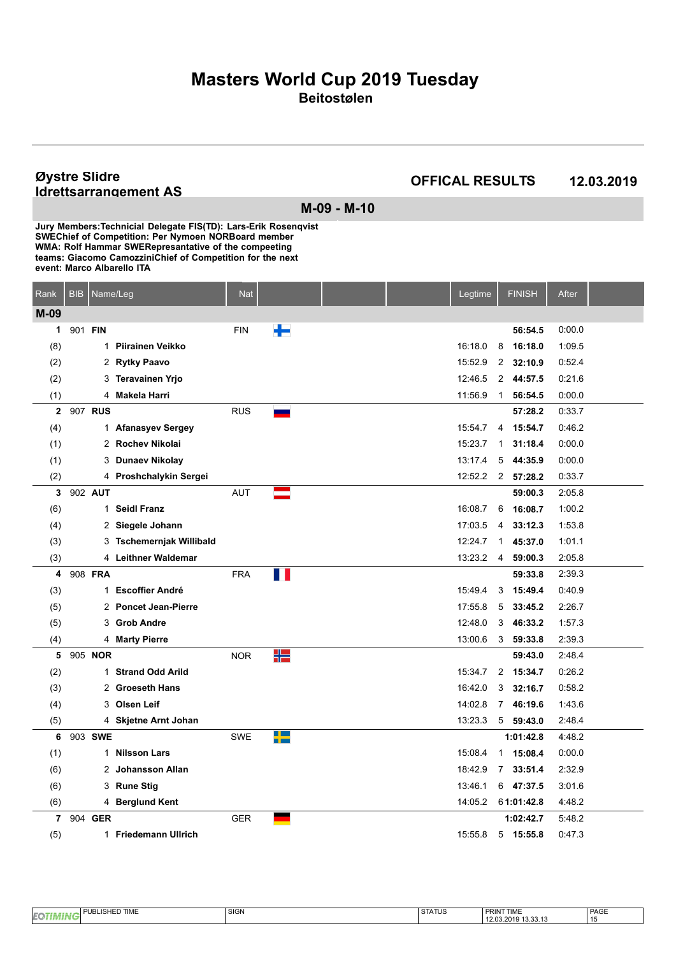**Øystre Slidre Idrettsarrangement AS**

**OFFICAL RESULTS 12.03.2019**

**M-09 - M-10**

| Rank         | <b>BIB</b> | Name/Leg |                          | <b>Nat</b> |     |  | Legtime |                | <b>FINISH</b> | <b>After</b> |  |
|--------------|------------|----------|--------------------------|------------|-----|--|---------|----------------|---------------|--------------|--|
| M-09         |            |          |                          |            |     |  |         |                |               |              |  |
| 1            | 901 FIN    |          |                          | <b>FIN</b> |     |  |         |                | 56:54.5       | 0:00.0       |  |
| (8)          |            |          | 1 Piirainen Veikko       |            |     |  | 16:18.0 | 8              | 16:18.0       | 1:09.5       |  |
| (2)          |            |          | 2 Rytky Paavo            |            |     |  | 15:52.9 | 2              | 32:10.9       | 0:52.4       |  |
| (2)          |            |          | 3 Teravainen Yrjo        |            |     |  | 12:46.5 | 2              | 44:57.5       | 0.21.6       |  |
| (1)          |            |          | 4 Makela Harri           |            |     |  | 11:56.9 | $\mathbf{1}$   | 56:54.5       | 0:00.0       |  |
| $\mathbf{2}$ |            | 907 RUS  |                          | <b>RUS</b> |     |  |         |                | 57:28.2       | 0:33.7       |  |
| (4)          |            |          | 1 Afanasyev Sergey       |            |     |  | 15:54.7 | 4              | 15:54.7       | 0.46.2       |  |
| (1)          |            |          | 2 Rochev Nikolai         |            |     |  | 15:23.7 | $\mathbf{1}$   | 31:18.4       | 0:00.0       |  |
| (1)          |            |          | 3 Dunaev Nikolay         |            |     |  | 13:17.4 | 5              | 44:35.9       | 0:00.0       |  |
| (2)          |            |          | 4 Proshchalykin Sergei   |            |     |  | 12:52.2 | $2^{\circ}$    | 57:28.2       | 0.33.7       |  |
| 3            |            | 902 AUT  |                          | <b>AUT</b> |     |  |         |                | 59:00.3       | 2:05.8       |  |
| (6)          |            |          | 1 Seidl Franz            |            |     |  | 16:08.7 | 6              | 16:08.7       | 1:00.2       |  |
| (4)          |            |          | 2 Siegele Johann         |            |     |  | 17:03.5 | 4              | 33:12.3       | 1:53.8       |  |
| (3)          |            |          | 3 Tschemernjak Willibald |            |     |  | 12:24.7 | $\mathbf 1$    | 45:37.0       | 1:01.1       |  |
| (3)          |            |          | 4 Leithner Waldemar      |            |     |  | 13:23.2 | 4              | 59:00.3       | 2:05.8       |  |
| 4            |            | 908 FRA  |                          | <b>FRA</b> | . . |  |         |                | 59:33.8       | 2:39.3       |  |
| (3)          |            |          | 1 Escoffier André        |            |     |  | 15:49.4 | 3              | 15:49.4       | 0.40.9       |  |
| (5)          |            |          | 2 Poncet Jean-Pierre     |            |     |  | 17:55.8 | 5              | 33:45.2       | 2:26.7       |  |
| (5)          |            |          | 3 Grob Andre             |            |     |  | 12:48.0 | 3              | 46:33.2       | 1:57.3       |  |
| (4)          |            |          | 4 Marty Pierre           |            |     |  | 13:00.6 | 3              | 59:33.8       | 2:39.3       |  |
| 5            |            | 905 NOR  |                          | <b>NOR</b> | ₩   |  |         |                | 59:43.0       | 2:48.4       |  |
| (2)          |            |          | 1 Strand Odd Arild       |            |     |  | 15:34.7 | $\overline{2}$ | 15:34.7       | 0.26.2       |  |
| (3)          |            |          | 2 Groeseth Hans          |            |     |  | 16:42.0 | 3              | 32:16.7       | 0.58.2       |  |
| (4)          |            |          | 3 Olsen Leif             |            |     |  | 14:02.8 | $\overline{7}$ | 46:19.6       | 1.43.6       |  |
| (5)          |            |          | 4 Skjetne Arnt Johan     |            |     |  | 13:23.3 |                | $5$ 59:43.0   | 2:48.4       |  |
| 6            |            | 903 SWE  |                          | <b>SWE</b> | -1- |  |         |                | 1:01:42.8     | 4:48.2       |  |
| (1)          |            |          | 1 Nilsson Lars           |            |     |  | 15:08.4 | $\mathbf{1}$   | 15:08.4       | 0:00.0       |  |
| (6)          |            |          | 2 Johansson Allan        |            |     |  | 18:42.9 | $\overline{7}$ | 33:51.4       | 2:32.9       |  |
| (6)          |            |          | 3 Rune Stig              |            |     |  | 13:46.1 |                | $6$ 47:37.5   | 3:01.6       |  |
| (6)          |            |          | 4 Berglund Kent          |            |     |  | 14:05.2 |                | 61:01:42.8    | 4 4 8 2      |  |
| 7            |            | 904 GER  |                          | <b>GER</b> |     |  |         |                | 1:02:42.7     | 5:48.2       |  |
| (5)          |            |          | 1 Friedemann Ullrich     |            |     |  | 15:55.8 | 5              | 15:55.8       | 0.47.3       |  |

| <b>TIME</b><br>Ë<br>. .<br>. ISAEU<br>EQ | <b>SIGN</b> | . SIAIUS. | <b>PRINT TIME</b>                                                         | PAGE |
|------------------------------------------|-------------|-----------|---------------------------------------------------------------------------|------|
|                                          |             |           | $\sim$<br>$\sim$<br>$\sim$<br>$\sim$<br>$\sqrt{11}$<br>$\sim$<br>19.99.19 |      |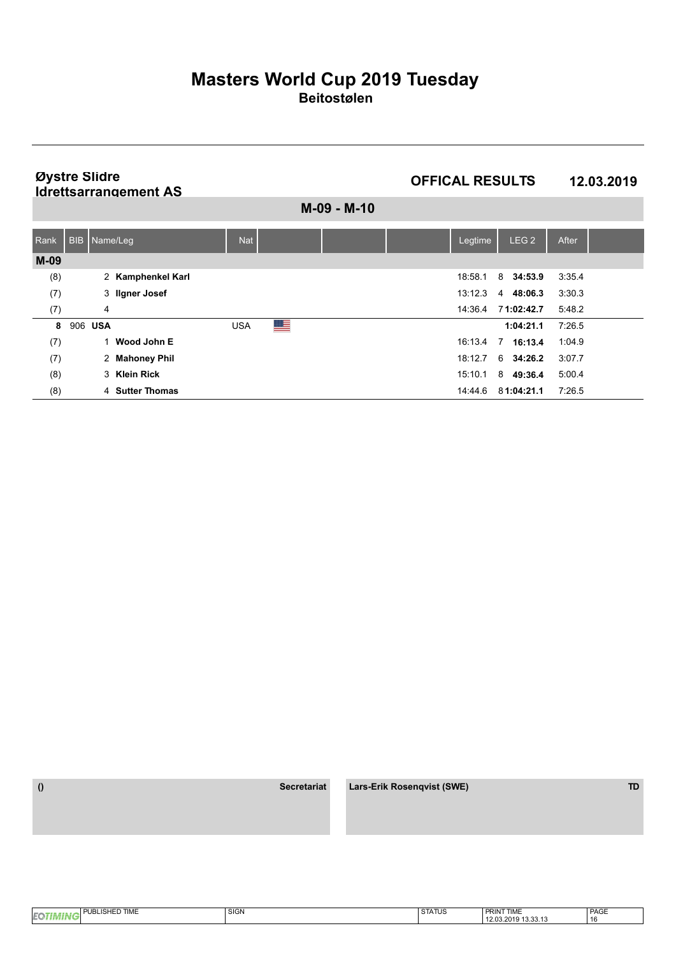**Øystre Slidre Idrettsarrangement AS** **OFFICAL RESULTS 12.03.2019**

**M-09 - M-10**

| Rank   |         | BIB   Name/Leg    | <b>Nat</b> |   |  | Legtime | LEG <sub>2</sub> | After  |
|--------|---------|-------------------|------------|---|--|---------|------------------|--------|
| $M-09$ |         |                   |            |   |  |         |                  |        |
| (8)    |         | 2 Kamphenkel Karl |            |   |  | 18:58.1 | 8 34:53.9        | 3:35.4 |
| (7)    |         | 3 Ilgner Josef    |            |   |  | 13:12.3 | 48:06.3<br>4     | 3:30.3 |
| (7)    |         | 4                 |            |   |  | 14:36.4 | 71:02:42.7       | 5:48.2 |
| 8      | 906 USA |                   | <b>USA</b> | ▀ |  |         | 1:04:21.1        | 7:26.5 |
| (7)    |         | Wood John E       |            |   |  | 16:13.4 | 7<br>16:13.4     | 1:04.9 |
| (7)    |         | 2 Mahoney Phil    |            |   |  | 18:12.7 | 6 34:26.2        | 3:07.7 |
| (8)    |         | 3 Klein Rick      |            |   |  | 15:10.1 | 8 49:36.4        | 5:00.4 |
| (8)    |         | 4 Sutter Thomas   |            |   |  | 14:44.6 | 81:04:21.1       | 7:26.5 |

 **() Secretariat Lars-Erik Rosenqvist (SWE) TD**

PAGE 16 **EOTIMING** PUBLISHED TIME SIGN SIGN SIGN STATUS **PRINT TIME**<br>12.03.2019 13.33.13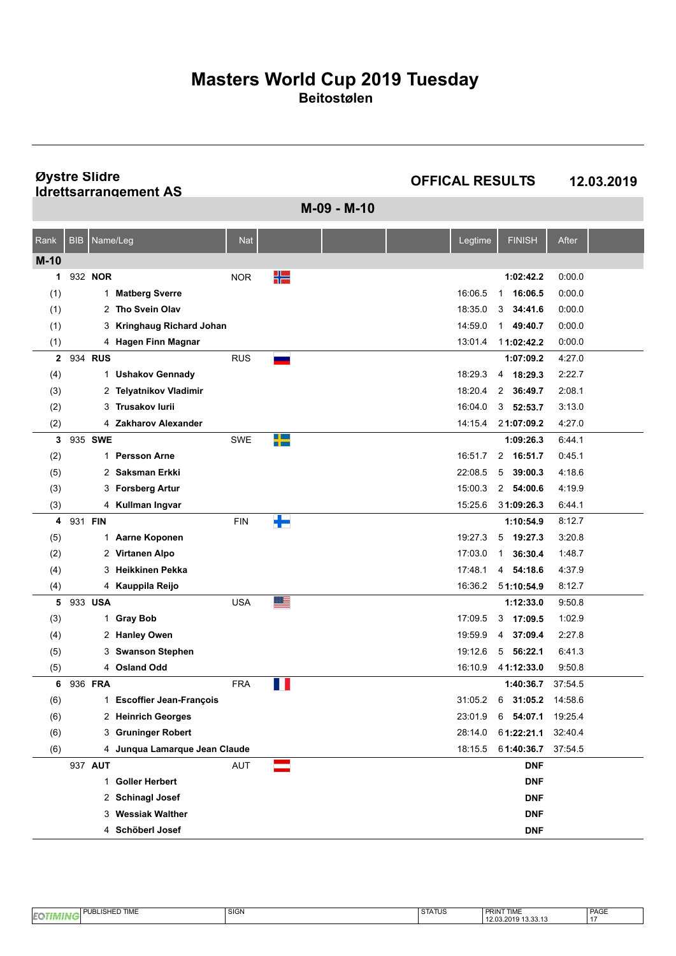**Øystre Slidre Idrettsarrangement AS**

**OFFICAL RESULTS 12.03.2019**

**M-09 - M-10**

| Rank   | <b>BIB</b> | Name/Leg |                               | <b>Nat</b> |     |  | Legtime | <b>FINISH</b>           | After   |  |
|--------|------------|----------|-------------------------------|------------|-----|--|---------|-------------------------|---------|--|
| $M-10$ |            |          |                               |            |     |  |         |                         |         |  |
| 1      |            | 932 NOR  |                               | <b>NOR</b> | ₩   |  |         | 1:02:42.2               | 0.00.0  |  |
| (1)    |            |          | 1 Matberg Sverre              |            |     |  | 16:06.5 | 1 16:06.5               | 0:00.0  |  |
| (1)    |            | 2        | Tho Svein Olav                |            |     |  | 18:35.0 | 34:41.6<br>3            | 0:00.0  |  |
| (1)    |            | 3        | Kringhaug Richard Johan       |            |     |  | 14:59.0 | $\mathbf{1}$<br>49:40.7 | 0:00.0  |  |
| (1)    |            |          | 4 Hagen Finn Magnar           |            |     |  | 13:01.4 | 11:02:42.2              | 0:00.0  |  |
| 2      |            | 934 RUS  |                               | <b>RUS</b> |     |  |         | 1:07:09.2               | 4:27.0  |  |
| (4)    |            |          | 1 Ushakov Gennady             |            |     |  | 18:29.3 | 18:29.3<br>4            | 2:22.7  |  |
| (3)    |            |          | 2 Telyatnikov Vladimir        |            |     |  | 18:20.4 | 36:49.7<br>2            | 2:08.1  |  |
| (2)    |            | 3        | <b>Trusakov lurij</b>         |            |     |  | 16:04.0 | 3<br>52:53.7            | 3:13.0  |  |
| (2)    |            |          | 4 Zakharov Alexander          |            |     |  | 14:15.4 | 21:07:09.2              | 4:27.0  |  |
| 3      |            | 935 SWE  |                               | <b>SWE</b> | -12 |  |         | 1:09:26.3               | 6:44.1  |  |
| (2)    |            |          | 1 Persson Arne                |            |     |  | 16:51.7 | 2 16:51.7               | 0.45.1  |  |
| (5)    |            | 2        | Saksman Erkki                 |            |     |  | 22:08.5 | 5<br>39:00.3            | 4 18 6  |  |
| (3)    |            | 3        | <b>Forsberg Artur</b>         |            |     |  | 15:00.3 | 2 54:00.6               | 4 19 9  |  |
| (3)    |            |          | 4 Kullman Ingvar              |            |     |  | 15:25.6 | 31:09:26.3              | 6:44.1  |  |
| 4      | 931 FIN    |          |                               | FIN        | ╄   |  |         | 1:10:54.9               | 8:12.7  |  |
| (5)    |            |          | 1 Aarne Koponen               |            |     |  | 19:27.3 | 5<br>19:27.3            | 3:20.8  |  |
| (2)    |            |          | 2 Virtanen Alpo               |            |     |  | 17:03.0 | 36:30.4<br>1            | 1.48.7  |  |
| (4)    |            | 3        | Heikkinen Pekka               |            |     |  | 17:48.1 | 4 54:18.6               | 4 3 7 9 |  |
| (4)    |            |          | 4 Kauppila Reijo              |            |     |  | 16:36.2 | 51:10:54.9              | 8:12.7  |  |
| 5      |            | 933 USA  |                               | <b>USA</b> | ▇≣  |  |         | 1:12:33.0               | 9:50.8  |  |
| (3)    |            |          | 1 Gray Bob                    |            |     |  | 17:09.5 | 3<br>17:09.5            | 1:02.9  |  |
| (4)    |            |          | 2 Hanley Owen                 |            |     |  | 19:59.9 | 37:09.4<br>4            | 2:27.8  |  |
| (5)    |            | 3        | <b>Swanson Stephen</b>        |            |     |  | 19:12.6 | 56:22.1<br>5            | 6413    |  |
| (5)    |            |          | 4 Osland Odd                  |            |     |  | 16:10.9 | 41:12:33.0              | 9:50.8  |  |
| 6      |            | 936 FRA  |                               | <b>FRA</b> | Ш   |  |         | 1:40:36.7               | 37:54.5 |  |
| (6)    |            |          | 1 Escoffier Jean-François     |            |     |  | 31:05.2 | 31:05.2<br>6            | 14:58.6 |  |
| (6)    |            |          | 2 Heinrich Georges            |            |     |  | 23:01.9 | 54:07.1<br>6            | 19:25.4 |  |
| (6)    |            | 3        | <b>Gruninger Robert</b>       |            |     |  | 28:14.0 | 61:22:21.1              | 32:40.4 |  |
| (6)    |            |          | 4 Junqua Lamarque Jean Claude |            |     |  | 18:15.5 | 61:40:36.7              | 37:54.5 |  |
|        |            | 937 AUT  |                               | <b>AUT</b> |     |  |         | <b>DNF</b>              |         |  |
|        |            |          | 1 Goller Herbert              |            |     |  |         | <b>DNF</b>              |         |  |
|        |            |          | 2 Schinagl Josef              |            |     |  |         | <b>DNF</b>              |         |  |
|        |            |          | 3 Wessiak Walther             |            |     |  |         | <b>DNF</b>              |         |  |
|        |            |          | 4 Schöberl Josef              |            |     |  |         | <b>DNF</b>              |         |  |

| 'ת TIME<br>J PUBL | <b>SIG</b> | <b>CTATUO</b><br><b>AIUS</b> | PRINT TIME<br><b>PRIN</b> | PAGE |
|-------------------|------------|------------------------------|---------------------------|------|
| <b>EQ</b>         |            |                              | 14.UJ.ZU 15<br>.          | .    |